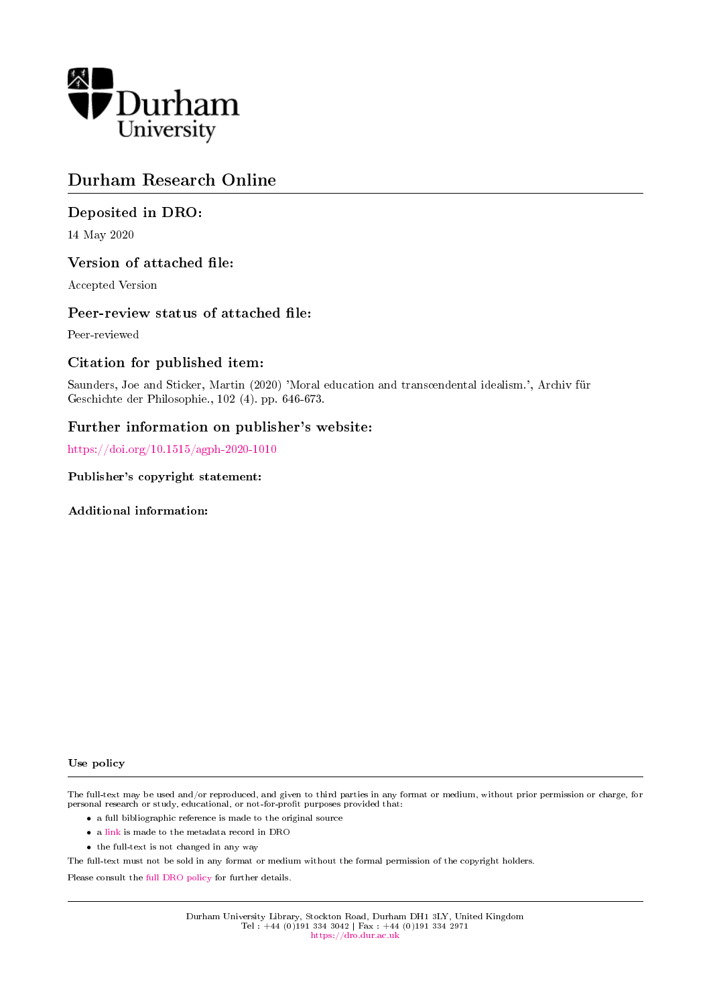

# Durham Research Online

## Deposited in DRO:

14 May 2020

## Version of attached file:

Accepted Version

## Peer-review status of attached file:

Peer-reviewed

## Citation for published item:

Saunders, Joe and Sticker, Martin (2020) 'Moral education and transcendental idealism.', Archiv fur Geschichte der Philosophie., 102 (4). pp. 646-673.

## Further information on publisher's website:

<https://doi.org/10.1515/agph-2020-1010>

#### Publisher's copyright statement:

Additional information:

#### Use policy

The full-text may be used and/or reproduced, and given to third parties in any format or medium, without prior permission or charge, for personal research or study, educational, or not-for-profit purposes provided that:

- a full bibliographic reference is made to the original source
- a [link](http://dro.dur.ac.uk/30844/) is made to the metadata record in DRO
- the full-text is not changed in any way

The full-text must not be sold in any format or medium without the formal permission of the copyright holders.

Please consult the [full DRO policy](https://dro.dur.ac.uk/policies/usepolicy.pdf) for further details.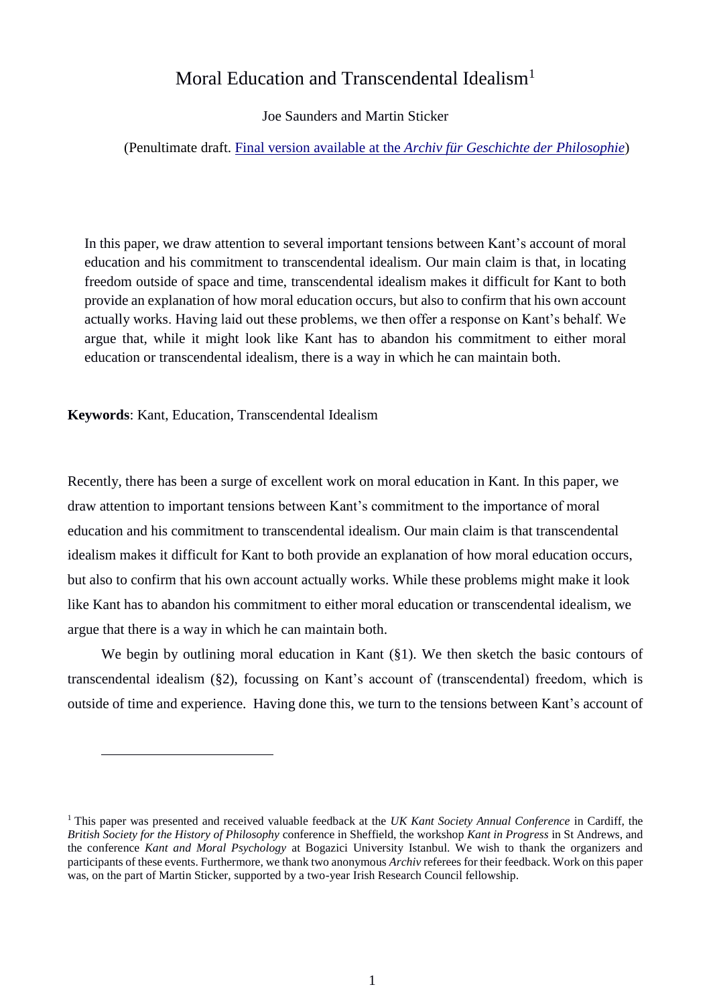# Moral Education and Transcendental Idealism<sup>1</sup>

### Joe Saunders and Martin Sticker

#### (Penultimate draft. Final version available at the *[Archiv für Geschichte der Philosophie](https://www.degruyter.com/view/journals/agph/ahead-of-print/article-10.1515-agph-2020-1010/article-10.1515-agph-2020-1010.xml)*)

In this paper, we draw attention to several important tensions between Kant's account of moral education and his commitment to transcendental idealism. Our main claim is that, in locating freedom outside of space and time, transcendental idealism makes it difficult for Kant to both provide an explanation of how moral education occurs, but also to confirm that his own account actually works. Having laid out these problems, we then offer a response on Kant's behalf. We argue that, while it might look like Kant has to abandon his commitment to either moral education or transcendental idealism, there is a way in which he can maintain both.

**Keywords**: Kant, Education, Transcendental Idealism

 $\overline{a}$ 

Recently, there has been a surge of excellent work on moral education in Kant. In this paper, we draw attention to important tensions between Kant's commitment to the importance of moral education and his commitment to transcendental idealism. Our main claim is that transcendental idealism makes it difficult for Kant to both provide an explanation of how moral education occurs, but also to confirm that his own account actually works. While these problems might make it look like Kant has to abandon his commitment to either moral education or transcendental idealism, we argue that there is a way in which he can maintain both.

We begin by outlining moral education in Kant (§1). We then sketch the basic contours of transcendental idealism (§2), focussing on Kant's account of (transcendental) freedom, which is outside of time and experience. Having done this, we turn to the tensions between Kant's account of

<sup>1</sup> This paper was presented and received valuable feedback at the *UK Kant Society Annual Conference* in Cardiff, the *British Society for the History of Philosophy* conference in Sheffield, the workshop *Kant in Progress* in St Andrews, and the conference *Kant and Moral Psychology* at Bogazici University Istanbul. We wish to thank the organizers and participants of these events. Furthermore, we thank two anonymous *Archiv* referees for their feedback. Work on this paper was, on the part of Martin Sticker, supported by a two-year Irish Research Council fellowship.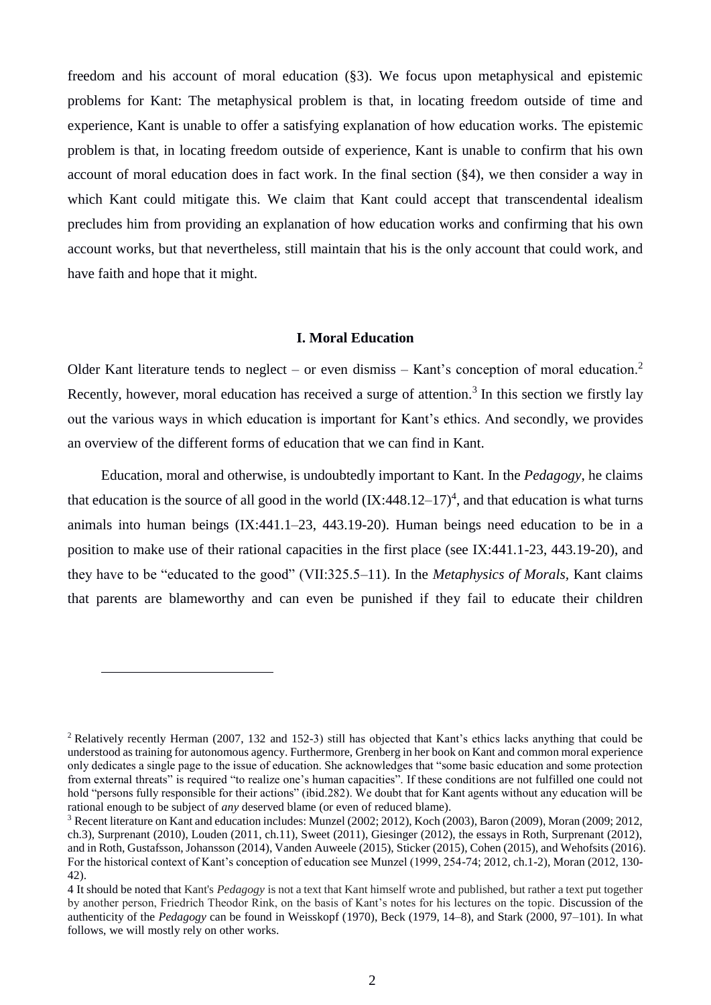freedom and his account of moral education (§3). We focus upon metaphysical and epistemic problems for Kant: The metaphysical problem is that, in locating freedom outside of time and experience, Kant is unable to offer a satisfying explanation of how education works. The epistemic problem is that, in locating freedom outside of experience, Kant is unable to confirm that his own account of moral education does in fact work. In the final section (§4), we then consider a way in which Kant could mitigate this. We claim that Kant could accept that transcendental idealism precludes him from providing an explanation of how education works and confirming that his own account works, but that nevertheless, still maintain that his is the only account that could work, and have faith and hope that it might.

#### **I. Moral Education**

Older Kant literature tends to neglect – or even dismiss – Kant's conception of moral education.<sup>2</sup> Recently, however, moral education has received a surge of attention.<sup>3</sup> In this section we firstly lay out the various ways in which education is important for Kant's ethics. And secondly, we provides an overview of the different forms of education that we can find in Kant.

Education, moral and otherwise, is undoubtedly important to Kant. In the *Pedagogy*, he claims that education is the source of all good in the world  $(IX:448.12-17)^4$ , and that education is what turns animals into human beings (IX:441.1–23, 443.19-20). Human beings need education to be in a position to make use of their rational capacities in the first place (see IX:441.1-23, 443.19-20), and they have to be "educated to the good" (VII:325.5–11). In the *Metaphysics of Morals,* Kant claims that parents are blameworthy and can even be punished if they fail to educate their children

<sup>2</sup> Relatively recently Herman (2007, 132 and 152-3) still has objected that Kant's ethics lacks anything that could be understood as training for autonomous agency. Furthermore, Grenberg in her book on Kant and common moral experience only dedicates a single page to the issue of education. She acknowledges that "some basic education and some protection from external threats" is required "to realize one's human capacities". If these conditions are not fulfilled one could not hold "persons fully responsible for their actions" (ibid.282). We doubt that for Kant agents without any education will be rational enough to be subject of *any* deserved blame (or even of reduced blame).

<sup>3</sup> Recent literature on Kant and education includes: Munzel (2002; 2012), Koch (2003), Baron (2009), Moran (2009; 2012, ch.3), Surprenant (2010), Louden (2011, ch.11), Sweet (2011), Giesinger (2012), the essays in Roth, Surprenant (2012), and in Roth, Gustafsson, Johansson (2014), Vanden Auweele (2015), Sticker (2015), Cohen (2015), and Wehofsits (2016). For the historical context of Kant's conception of education see Munzel (1999, 254-74; 2012, ch.1-2), Moran (2012, 130- 42).

<sup>4</sup> It should be noted that Kant's *Pedagogy* is not a text that Kant himself wrote and published, but rather a text put together by another person, Friedrich Theodor Rink, on the basis of Kant's notes for his lectures on the topic. Discussion of the authenticity of the *Pedagogy* can be found in Weisskopf (1970), Beck (1979, 14–8), and Stark (2000, 97–101). In what follows, we will mostly rely on other works.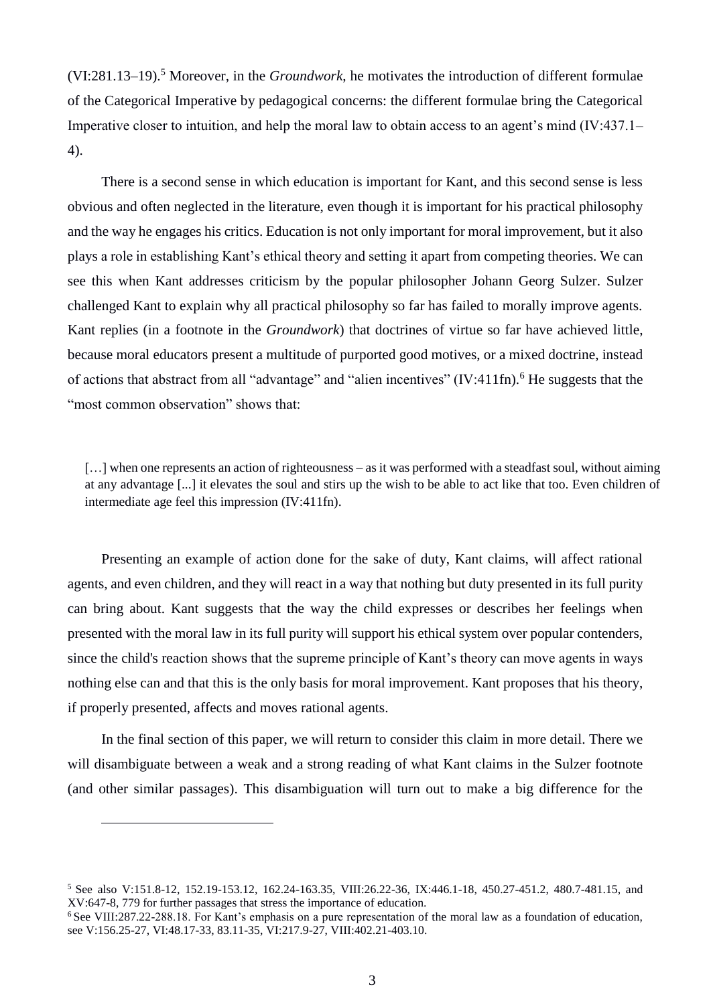(VI:281.13–19).<sup>5</sup> Moreover, in the *Groundwork*, he motivates the introduction of different formulae of the Categorical Imperative by pedagogical concerns: the different formulae bring the Categorical Imperative closer to intuition, and help the moral law to obtain access to an agent's mind (IV:437.1– 4).

There is a second sense in which education is important for Kant, and this second sense is less obvious and often neglected in the literature, even though it is important for his practical philosophy and the way he engages his critics. Education is not only important for moral improvement, but it also plays a role in establishing Kant's ethical theory and setting it apart from competing theories. We can see this when Kant addresses criticism by the popular philosopher Johann Georg Sulzer. Sulzer challenged Kant to explain why all practical philosophy so far has failed to morally improve agents. Kant replies (in a footnote in the *Groundwork*) that doctrines of virtue so far have achieved little, because moral educators present a multitude of purported good motives, or a mixed doctrine, instead of actions that abstract from all "advantage" and "alien incentives" (IV:411fn).<sup>6</sup> He suggests that the "most common observation" shows that:

[...] when one represents an action of righteousness – as it was performed with a steadfast soul, without aiming at any advantage [...] it elevates the soul and stirs up the wish to be able to act like that too. Even children of intermediate age feel this impression (IV:411fn).

Presenting an example of action done for the sake of duty, Kant claims, will affect rational agents, and even children, and they will react in a way that nothing but duty presented in its full purity can bring about. Kant suggests that the way the child expresses or describes her feelings when presented with the moral law in its full purity will support his ethical system over popular contenders, since the child's reaction shows that the supreme principle of Kant's theory can move agents in ways nothing else can and that this is the only basis for moral improvement. Kant proposes that his theory, if properly presented, affects and moves rational agents.

In the final section of this paper, we will return to consider this claim in more detail. There we will disambiguate between a weak and a strong reading of what Kant claims in the Sulzer footnote (and other similar passages). This disambiguation will turn out to make a big difference for the

<sup>5</sup> See also V:151.8-12, 152.19-153.12, 162.24-163.35, VIII:26.22-36, IX:446.1-18, 450.27-451.2, 480.7-481.15, and XV:647-8, 779 for further passages that stress the importance of education.

<sup>&</sup>lt;sup>6</sup> See VIII:287.22-288.18. For Kant's emphasis on a pure representation of the moral law as a foundation of education, see V:156.25-27, VI:48.17-33, 83.11-35, VI:217.9-27, VIII:402.21-403.10.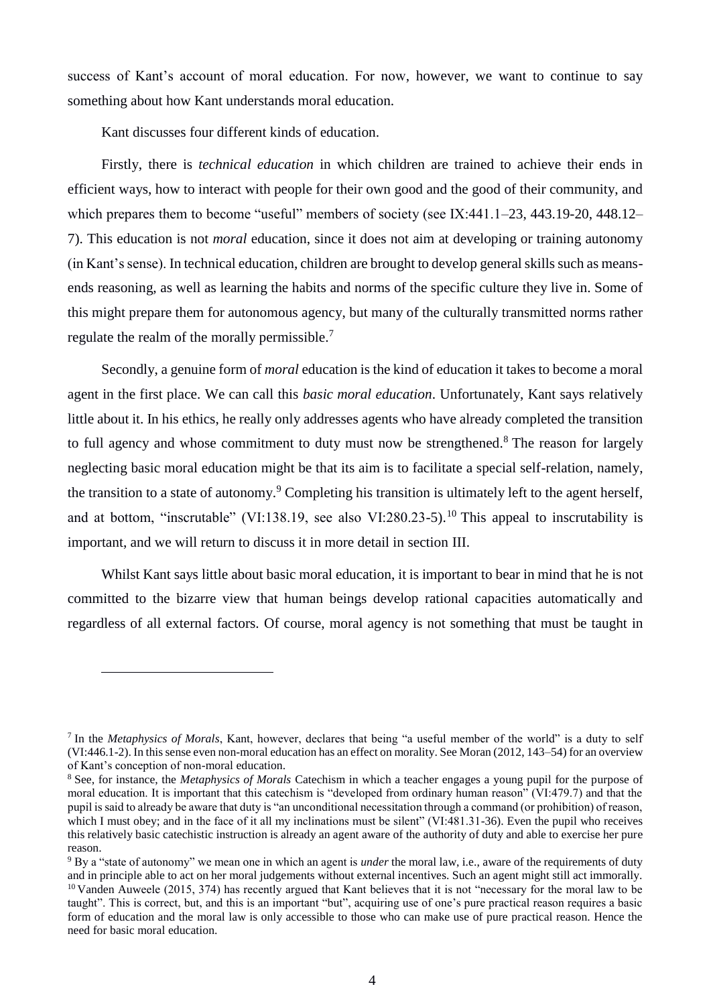success of Kant's account of moral education. For now, however, we want to continue to say something about how Kant understands moral education.

Kant discusses four different kinds of education.

 $\overline{a}$ 

Firstly, there is *technical education* in which children are trained to achieve their ends in efficient ways, how to interact with people for their own good and the good of their community, and which prepares them to become "useful" members of society (see IX:441.1–23, 443.19-20, 448.12– 7). This education is not *moral* education, since it does not aim at developing or training autonomy (in Kant's sense). In technical education, children are brought to develop general skills such as meansends reasoning, as well as learning the habits and norms of the specific culture they live in. Some of this might prepare them for autonomous agency, but many of the culturally transmitted norms rather regulate the realm of the morally permissible.<sup>7</sup>

Secondly, a genuine form of *moral* education is the kind of education it takes to become a moral agent in the first place. We can call this *basic moral education*. Unfortunately, Kant says relatively little about it. In his ethics, he really only addresses agents who have already completed the transition to full agency and whose commitment to duty must now be strengthened.<sup>8</sup> The reason for largely neglecting basic moral education might be that its aim is to facilitate a special self-relation, namely, the transition to a state of autonomy.<sup>9</sup> Completing his transition is ultimately left to the agent herself, and at bottom, "inscrutable" (VI:138.19, see also VI:280.23-5).<sup>10</sup> This appeal to inscrutability is important, and we will return to discuss it in more detail in section III.

Whilst Kant says little about basic moral education, it is important to bear in mind that he is not committed to the bizarre view that human beings develop rational capacities automatically and regardless of all external factors. Of course, moral agency is not something that must be taught in

<sup>7</sup> In the *Metaphysics of Morals*, Kant, however, declares that being "a useful member of the world" is a duty to self (VI:446.1-2). In this sense even non-moral education has an effect on morality. See Moran (2012, 143–54) for an overview of Kant's conception of non-moral education.

<sup>8</sup> See, for instance, the *Metaphysics of Morals* Catechism in which a teacher engages a young pupil for the purpose of moral education. It is important that this catechism is "developed from ordinary human reason" (VI:479.7) and that the pupil is said to already be aware that duty is "an unconditional necessitation through a command (or prohibition) of reason, which I must obey; and in the face of it all my inclinations must be silent" (VI:481.31-36). Even the pupil who receives this relatively basic catechistic instruction is already an agent aware of the authority of duty and able to exercise her pure reason.

<sup>9</sup> By a "state of autonomy" we mean one in which an agent is *under* the moral law, i.e., aware of the requirements of duty and in principle able to act on her moral judgements without external incentives. Such an agent might still act immorally.  $10$  Vanden Auweele (2015, 374) has recently argued that Kant believes that it is not "necessary for the moral law to be taught". This is correct, but, and this is an important "but", acquiring use of one's pure practical reason requires a basic form of education and the moral law is only accessible to those who can make use of pure practical reason. Hence the need for basic moral education.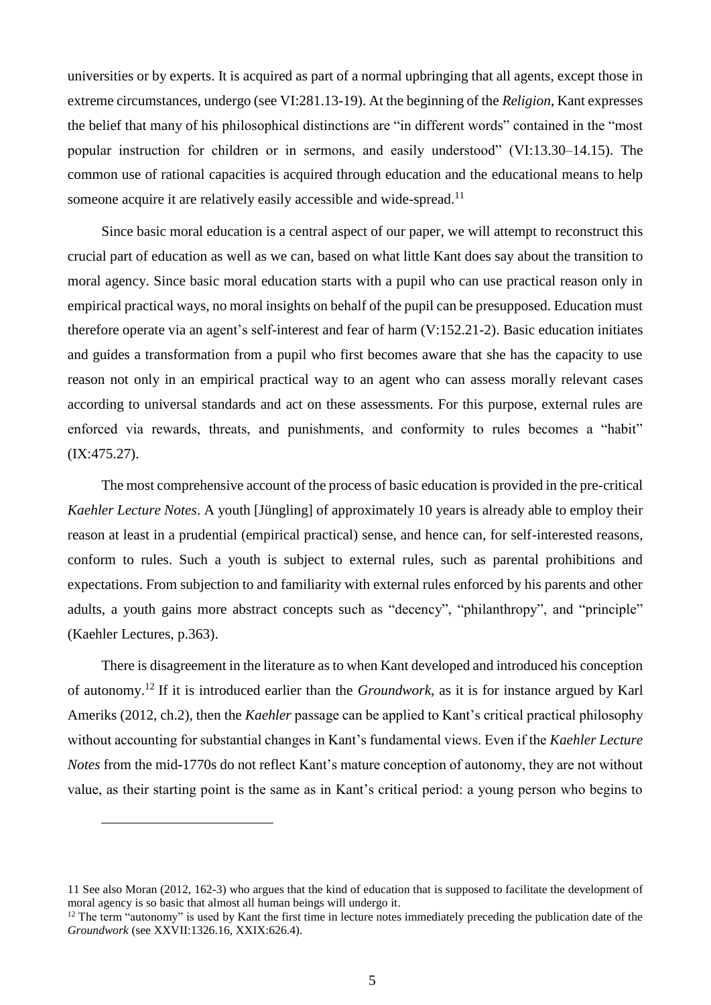universities or by experts. It is acquired as part of a normal upbringing that all agents, except those in extreme circumstances, undergo (see VI:281.13-19). At the beginning of the *Religion*, Kant expresses the belief that many of his philosophical distinctions are "in different words" contained in the "most popular instruction for children or in sermons, and easily understood" (VI:13.30–14.15). The common use of rational capacities is acquired through education and the educational means to help someone acquire it are relatively easily accessible and wide-spread.<sup>11</sup>

Since basic moral education is a central aspect of our paper, we will attempt to reconstruct this crucial part of education as well as we can, based on what little Kant does say about the transition to moral agency. Since basic moral education starts with a pupil who can use practical reason only in empirical practical ways, no moral insights on behalf of the pupil can be presupposed. Education must therefore operate via an agent's self-interest and fear of harm (V:152.21-2). Basic education initiates and guides a transformation from a pupil who first becomes aware that she has the capacity to use reason not only in an empirical practical way to an agent who can assess morally relevant cases according to universal standards and act on these assessments. For this purpose, external rules are enforced via rewards, threats, and punishments, and conformity to rules becomes a "habit" (IX:475.27).

The most comprehensive account of the process of basic education is provided in the pre-critical *Kaehler Lecture Notes*. A youth [Jüngling] of approximately 10 years is already able to employ their reason at least in a prudential (empirical practical) sense, and hence can, for self-interested reasons, conform to rules. Such a youth is subject to external rules, such as parental prohibitions and expectations. From subjection to and familiarity with external rules enforced by his parents and other adults, a youth gains more abstract concepts such as "decency", "philanthropy", and "principle" (Kaehler Lectures, p.363).

There is disagreement in the literature as to when Kant developed and introduced his conception of autonomy.<sup>12</sup> If it is introduced earlier than the *Groundwork*, as it is for instance argued by Karl Ameriks (2012, ch.2), then the *Kaehler* passage can be applied to Kant's critical practical philosophy without accounting for substantial changes in Kant's fundamental views. Even if the *Kaehler Lecture Notes* from the mid-1770s do not reflect Kant's mature conception of autonomy, they are not without value, as their starting point is the same as in Kant's critical period: a young person who begins to

<sup>11</sup> See also Moran (2012, 162-3) who argues that the kind of education that is supposed to facilitate the development of moral agency is so basic that almost all human beings will undergo it.

<sup>&</sup>lt;sup>12</sup> The term "autonomy" is used by Kant the first time in lecture notes immediately preceding the publication date of the *Groundwork* (see XXVII:1326.16, XXIX:626.4).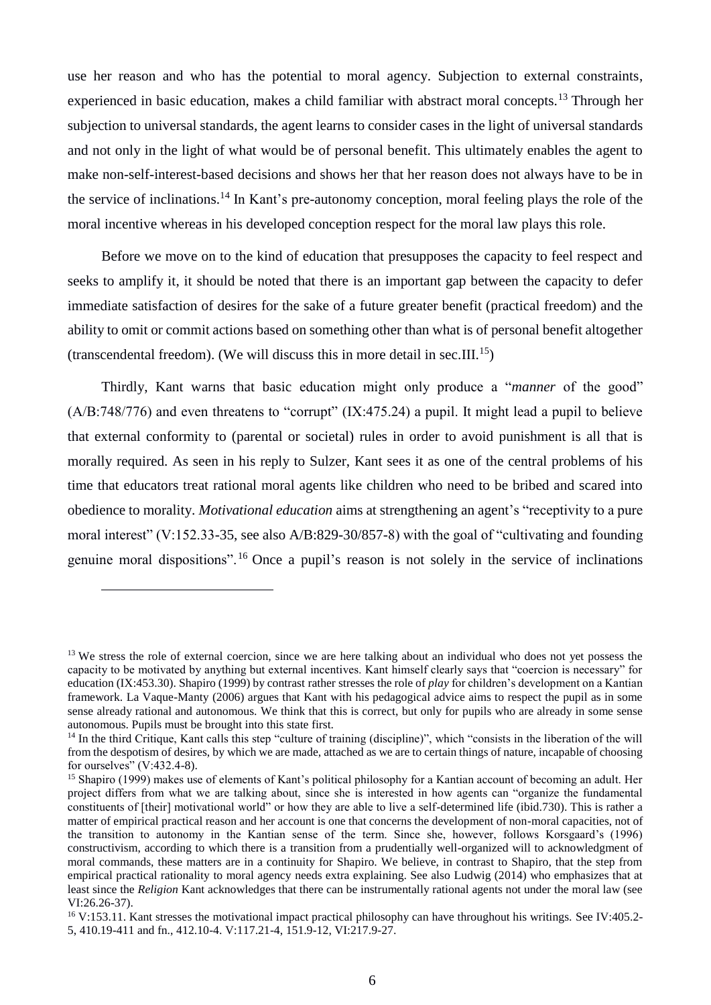use her reason and who has the potential to moral agency. Subjection to external constraints, experienced in basic education, makes a child familiar with abstract moral concepts.<sup>13</sup> Through her subjection to universal standards, the agent learns to consider cases in the light of universal standards and not only in the light of what would be of personal benefit. This ultimately enables the agent to make non-self-interest-based decisions and shows her that her reason does not always have to be in the service of inclinations.<sup>14</sup> In Kant's pre-autonomy conception, moral feeling plays the role of the moral incentive whereas in his developed conception respect for the moral law plays this role.

Before we move on to the kind of education that presupposes the capacity to feel respect and seeks to amplify it, it should be noted that there is an important gap between the capacity to defer immediate satisfaction of desires for the sake of a future greater benefit (practical freedom) and the ability to omit or commit actions based on something other than what is of personal benefit altogether (transcendental freedom). (We will discuss this in more detail in sec.III. 15)

Thirdly, Kant warns that basic education might only produce a "*manner* of the good"  $(A/B:748/776)$  and even threatens to "corrupt"  $(IX:475.24)$  a pupil. It might lead a pupil to believe that external conformity to (parental or societal) rules in order to avoid punishment is all that is morally required. As seen in his reply to Sulzer, Kant sees it as one of the central problems of his time that educators treat rational moral agents like children who need to be bribed and scared into obedience to morality. *Motivational education* aims at strengthening an agent's "receptivity to a pure moral interest" (V:152.33-35, see also A/B:829-30/857-8) with the goal of "cultivating and founding genuine moral dispositions".<sup>16</sup> Once a pupil's reason is not solely in the service of inclinations

<sup>&</sup>lt;sup>13</sup> We stress the role of external coercion, since we are here talking about an individual who does not yet possess the capacity to be motivated by anything but external incentives. Kant himself clearly says that "coercion is necessary" for education (IX:453.30). Shapiro (1999) by contrast rather stresses the role of *play* for children's development on a Kantian framework. La Vaque-Manty (2006) argues that Kant with his pedagogical advice aims to respect the pupil as in some sense already rational and autonomous. We think that this is correct, but only for pupils who are already in some sense autonomous. Pupils must be brought into this state first.

<sup>&</sup>lt;sup>14</sup> In the third Critique, Kant calls this step "culture of training (discipline)", which "consists in the liberation of the will from the despotism of desires, by which we are made, attached as we are to certain things of nature, incapable of choosing for ourselves" (V:432.4-8).

<sup>&</sup>lt;sup>15</sup> Shapiro (1999) makes use of elements of Kant's political philosophy for a Kantian account of becoming an adult. Her project differs from what we are talking about, since she is interested in how agents can "organize the fundamental constituents of [their] motivational world" or how they are able to live a self-determined life (ibid.730). This is rather a matter of empirical practical reason and her account is one that concerns the development of non-moral capacities, not of the transition to autonomy in the Kantian sense of the term. Since she, however, follows Korsgaard's (1996) constructivism, according to which there is a transition from a prudentially well-organized will to acknowledgment of moral commands, these matters are in a continuity for Shapiro. We believe, in contrast to Shapiro, that the step from empirical practical rationality to moral agency needs extra explaining. See also Ludwig (2014) who emphasizes that at least since the *Religion* Kant acknowledges that there can be instrumentally rational agents not under the moral law (see VI:26.26-37).

<sup>&</sup>lt;sup>16</sup> V:153.11. Kant stresses the motivational impact practical philosophy can have throughout his writings. See IV:405.2-5, 410.19-411 and fn., 412.10-4. V:117.21-4, 151.9-12, VI:217.9-27.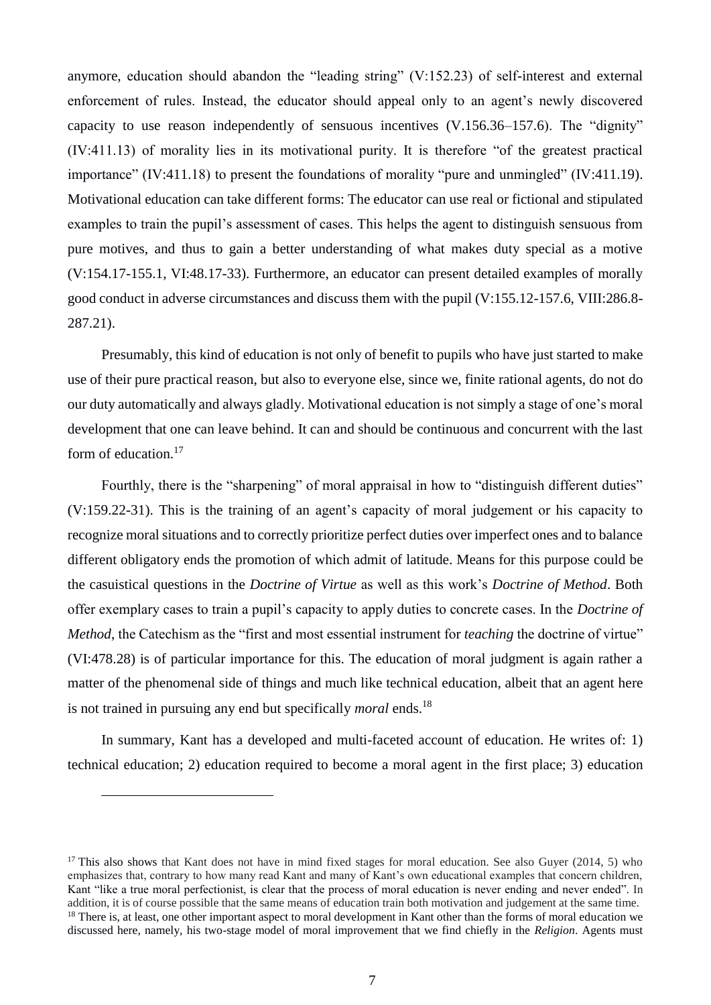anymore, education should abandon the "leading string" (V:152.23) of self-interest and external enforcement of rules. Instead, the educator should appeal only to an agent's newly discovered capacity to use reason independently of sensuous incentives (V.156.36–157.6). The "dignity" (IV:411.13) of morality lies in its motivational purity. It is therefore "of the greatest practical importance" (IV:411.18) to present the foundations of morality "pure and unmingled" (IV:411.19). Motivational education can take different forms: The educator can use real or fictional and stipulated examples to train the pupil's assessment of cases. This helps the agent to distinguish sensuous from pure motives, and thus to gain a better understanding of what makes duty special as a motive (V:154.17-155.1, VI:48.17-33). Furthermore, an educator can present detailed examples of morally good conduct in adverse circumstances and discuss them with the pupil (V:155.12-157.6, VIII:286.8- 287.21).

Presumably, this kind of education is not only of benefit to pupils who have just started to make use of their pure practical reason, but also to everyone else, since we, finite rational agents, do not do our duty automatically and always gladly. Motivational education is not simply a stage of one's moral development that one can leave behind. It can and should be continuous and concurrent with the last form of education.<sup>17</sup>

Fourthly, there is the "sharpening" of moral appraisal in how to "distinguish different duties" (V:159.22-31). This is the training of an agent's capacity of moral judgement or his capacity to recognize moral situations and to correctly prioritize perfect duties over imperfect ones and to balance different obligatory ends the promotion of which admit of latitude. Means for this purpose could be the casuistical questions in the *Doctrine of Virtue* as well as this work's *Doctrine of Method*. Both offer exemplary cases to train a pupil's capacity to apply duties to concrete cases. In the *Doctrine of Method*, the Catechism as the "first and most essential instrument for *teaching* the doctrine of virtue" (VI:478.28) is of particular importance for this. The education of moral judgment is again rather a matter of the phenomenal side of things and much like technical education, albeit that an agent here is not trained in pursuing any end but specifically *moral* ends.<sup>18</sup>

In summary, Kant has a developed and multi-faceted account of education. He writes of: 1) technical education; 2) education required to become a moral agent in the first place; 3) education

<sup>&</sup>lt;sup>17</sup> This also shows that Kant does not have in mind fixed stages for moral education. See also Guyer (2014, 5) who emphasizes that, contrary to how many read Kant and many of Kant's own educational examples that concern children, Kant "like a true moral perfectionist, is clear that the process of moral education is never ending and never ended". In addition, it is of course possible that the same means of education train both motivation and judgement at the same time. <sup>18</sup> There is, at least, one other important aspect to moral development in Kant other than the forms of moral education we discussed here, namely, his two-stage model of moral improvement that we find chiefly in the *Religion*. Agents must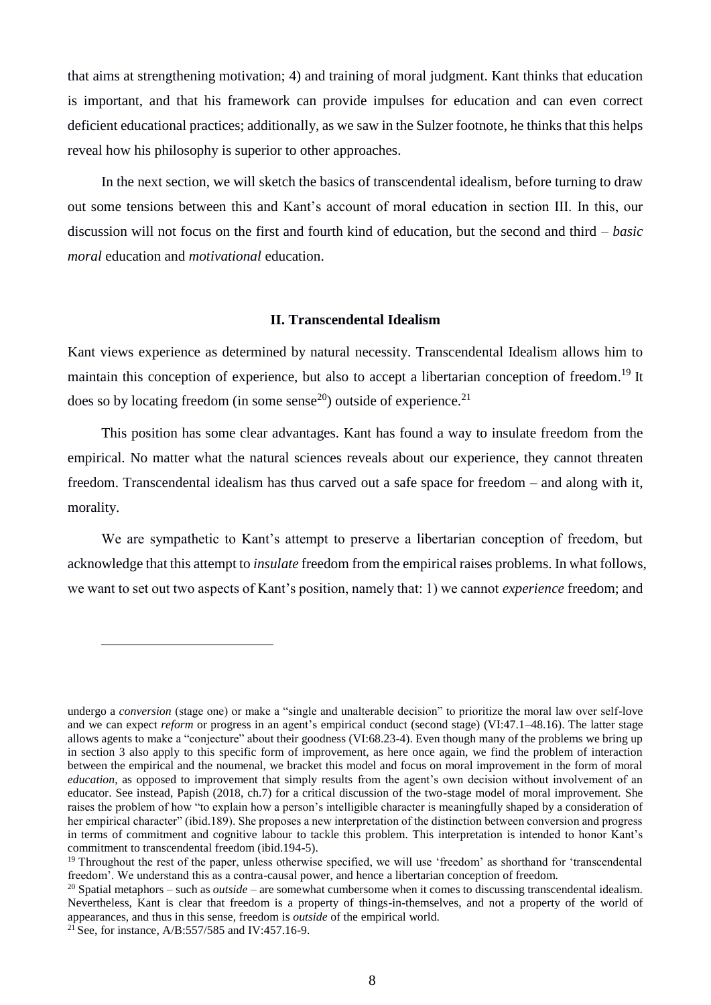that aims at strengthening motivation; 4) and training of moral judgment. Kant thinks that education is important, and that his framework can provide impulses for education and can even correct deficient educational practices; additionally, as we saw in the Sulzer footnote, he thinks that this helps reveal how his philosophy is superior to other approaches.

In the next section, we will sketch the basics of transcendental idealism, before turning to draw out some tensions between this and Kant's account of moral education in section III. In this, our discussion will not focus on the first and fourth kind of education, but the second and third – *basic moral* education and *motivational* education.

### **II. Transcendental Idealism**

Kant views experience as determined by natural necessity. Transcendental Idealism allows him to maintain this conception of experience, but also to accept a libertarian conception of freedom.<sup>19</sup> It does so by locating freedom (in some sense<sup>20</sup>) outside of experience.<sup>21</sup>

This position has some clear advantages. Kant has found a way to insulate freedom from the empirical. No matter what the natural sciences reveals about our experience, they cannot threaten freedom. Transcendental idealism has thus carved out a safe space for freedom – and along with it, morality.

We are sympathetic to Kant's attempt to preserve a libertarian conception of freedom, but acknowledge that this attempt to *insulate* freedom from the empirical raises problems. In what follows, we want to set out two aspects of Kant's position, namely that: 1) we cannot *experience* freedom; and

undergo a *conversion* (stage one) or make a "single and unalterable decision" to prioritize the moral law over self-love and we can expect *reform* or progress in an agent's empirical conduct (second stage) (VI:47.1–48.16). The latter stage allows agents to make a "conjecture" about their goodness (VI:68.23-4). Even though many of the problems we bring up in section 3 also apply to this specific form of improvement, as here once again, we find the problem of interaction between the empirical and the noumenal, we bracket this model and focus on moral improvement in the form of moral *education*, as opposed to improvement that simply results from the agent's own decision without involvement of an educator. See instead, Papish (2018, ch.7) for a critical discussion of the two-stage model of moral improvement. She raises the problem of how "to explain how a person's intelligible character is meaningfully shaped by a consideration of her empirical character" (ibid.189). She proposes a new interpretation of the distinction between conversion and progress in terms of commitment and cognitive labour to tackle this problem. This interpretation is intended to honor Kant's commitment to transcendental freedom (ibid.194-5).

<sup>&</sup>lt;sup>19</sup> Throughout the rest of the paper, unless otherwise specified, we will use 'freedom' as shorthand for 'transcendental freedom'. We understand this as a contra-causal power, and hence a libertarian conception of freedom.

<sup>20</sup> Spatial metaphors – such as *outside* – are somewhat cumbersome when it comes to discussing transcendental idealism. Nevertheless, Kant is clear that freedom is a property of things-in-themselves, and not a property of the world of appearances, and thus in this sense, freedom is *outside* of the empirical world.

 $^{21}$  See, for instance, A/B:557/585 and IV:457.16-9.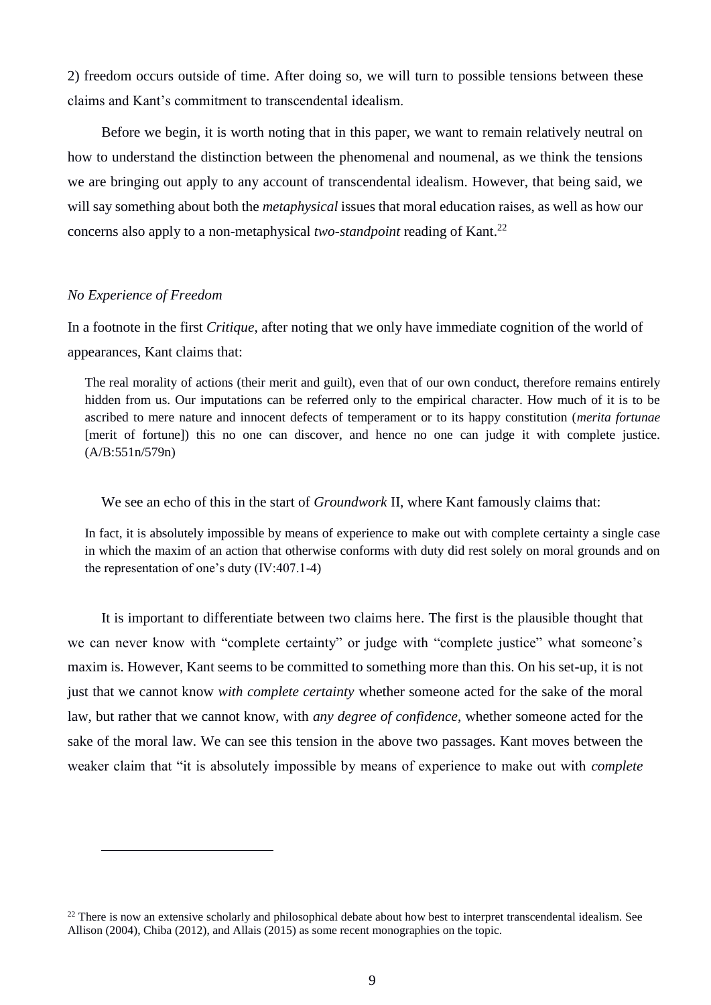2) freedom occurs outside of time. After doing so, we will turn to possible tensions between these claims and Kant's commitment to transcendental idealism.

Before we begin, it is worth noting that in this paper, we want to remain relatively neutral on how to understand the distinction between the phenomenal and noumenal, as we think the tensions we are bringing out apply to any account of transcendental idealism. However, that being said, we will say something about both the *metaphysical* issues that moral education raises, as well as how our concerns also apply to a non-metaphysical *two-standpoint* reading of Kant.<sup>22</sup>

#### *No Experience of Freedom*

 $\overline{a}$ 

In a footnote in the first *Critique*, after noting that we only have immediate cognition of the world of appearances, Kant claims that:

The real morality of actions (their merit and guilt), even that of our own conduct, therefore remains entirely hidden from us. Our imputations can be referred only to the empirical character. How much of it is to be ascribed to mere nature and innocent defects of temperament or to its happy constitution (*merita fortunae* [merit of fortune]) this no one can discover, and hence no one can judge it with complete justice. (A/B:551n/579n)

We see an echo of this in the start of *Groundwork* II, where Kant famously claims that:

In fact, it is absolutely impossible by means of experience to make out with complete certainty a single case in which the maxim of an action that otherwise conforms with duty did rest solely on moral grounds and on the representation of one's duty (IV:407.1-4)

It is important to differentiate between two claims here. The first is the plausible thought that we can never know with "complete certainty" or judge with "complete justice" what someone's maxim is. However, Kant seems to be committed to something more than this. On his set-up, it is not just that we cannot know *with complete certainty* whether someone acted for the sake of the moral law, but rather that we cannot know, with *any degree of confidence*, whether someone acted for the sake of the moral law. We can see this tension in the above two passages. Kant moves between the weaker claim that "it is absolutely impossible by means of experience to make out with *complete* 

<sup>&</sup>lt;sup>22</sup> There is now an extensive scholarly and philosophical debate about how best to interpret transcendental idealism. See Allison (2004), Chiba (2012), and Allais (2015) as some recent monographies on the topic.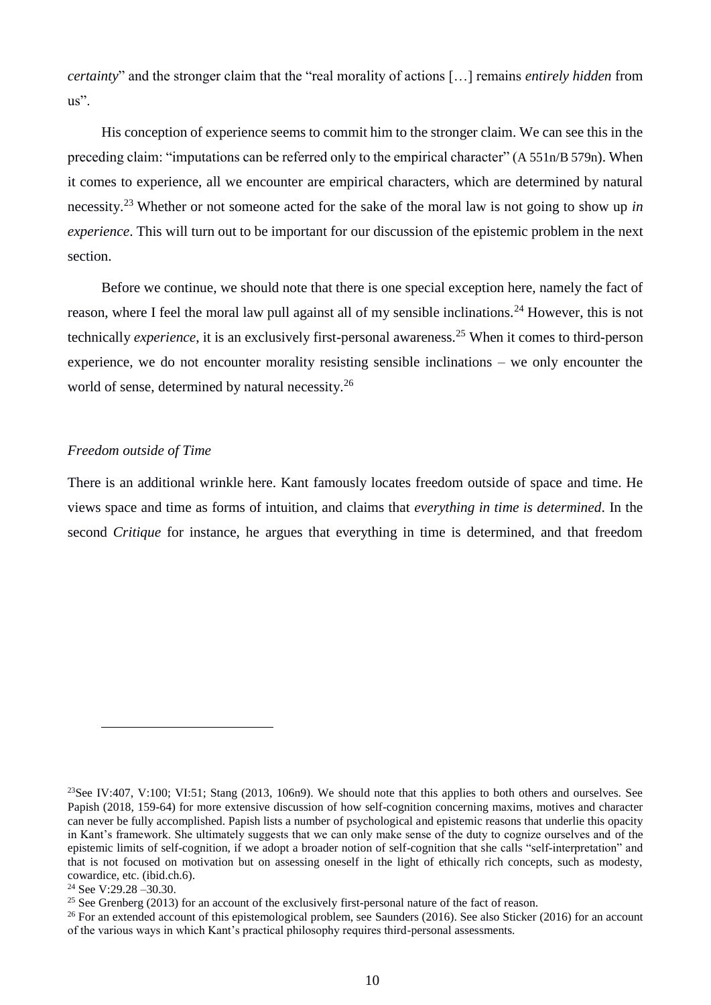*certainty*" and the stronger claim that the "real morality of actions […] remains *entirely hidden* from  $\text{us}$ ".

His conception of experience seems to commit him to the stronger claim. We can see this in the preceding claim: "imputations can be referred only to the empirical character" (A 551n/B 579n). When it comes to experience, all we encounter are empirical characters, which are determined by natural necessity. <sup>23</sup> Whether or not someone acted for the sake of the moral law is not going to show up *in experience*. This will turn out to be important for our discussion of the epistemic problem in the next section.

Before we continue, we should note that there is one special exception here, namely the fact of reason, where I feel the moral law pull against all of my sensible inclinations.<sup>24</sup> However, this is not technically *experience*, it is an exclusively first-personal awareness.<sup>25</sup> When it comes to third-person experience, we do not encounter morality resisting sensible inclinations – we only encounter the world of sense, determined by natural necessity.<sup>26</sup>

## *Freedom outside of Time*

There is an additional wrinkle here. Kant famously locates freedom outside of space and time. He views space and time as forms of intuition, and claims that *everything in time is determined*. In the second *Critique* for instance, he argues that everything in time is determined, and that freedom

<sup>&</sup>lt;sup>23</sup>See IV:407, V:100; VI:51; Stang (2013, 106n9). We should note that this applies to both others and ourselves. See Papish (2018, 159-64) for more extensive discussion of how self-cognition concerning maxims, motives and character can never be fully accomplished. Papish lists a number of psychological and epistemic reasons that underlie this opacity in Kant's framework. She ultimately suggests that we can only make sense of the duty to cognize ourselves and of the epistemic limits of self-cognition, if we adopt a broader notion of self-cognition that she calls "self-interpretation" and that is not focused on motivation but on assessing oneself in the light of ethically rich concepts, such as modesty, cowardice, etc. (ibid.ch.6).

<sup>&</sup>lt;sup>24</sup> See V:29.28  $-30.30$ .

<sup>&</sup>lt;sup>25</sup> See Grenberg (2013) for an account of the exclusively first-personal nature of the fact of reason.

<sup>&</sup>lt;sup>26</sup> For an extended account of this epistemological problem, see Saunders (2016). See also Sticker (2016) for an account of the various ways in which Kant's practical philosophy requires third-personal assessments.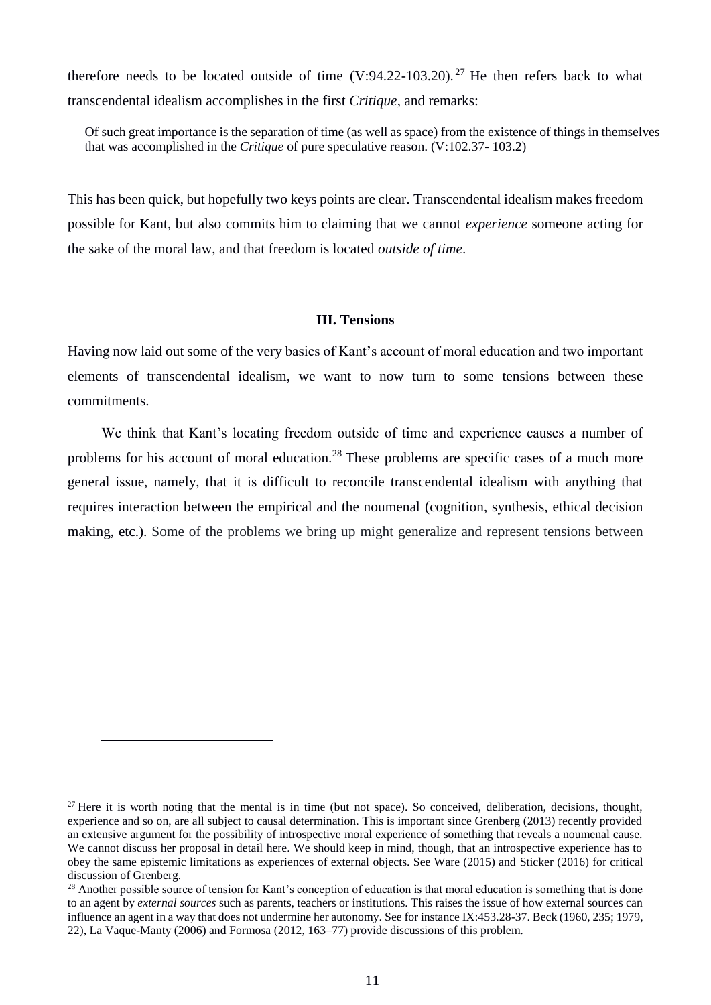therefore needs to be located outside of time  $(V:94.22-103.20)$ . <sup>27</sup> He then refers back to what transcendental idealism accomplishes in the first *Critique*, and remarks:

Of such great importance is the separation of time (as well as space) from the existence of things in themselves that was accomplished in the *Critique* of pure speculative reason. (V:102.37- 103.2)

This has been quick, but hopefully two keys points are clear. Transcendental idealism makes freedom possible for Kant, but also commits him to claiming that we cannot *experience* someone acting for the sake of the moral law, and that freedom is located *outside of time*.

#### **III. Tensions**

Having now laid out some of the very basics of Kant's account of moral education and two important elements of transcendental idealism, we want to now turn to some tensions between these commitments.

We think that Kant's locating freedom outside of time and experience causes a number of problems for his account of moral education.<sup>28</sup> These problems are specific cases of a much more general issue, namely, that it is difficult to reconcile transcendental idealism with anything that requires interaction between the empirical and the noumenal (cognition, synthesis, ethical decision making, etc.). Some of the problems we bring up might generalize and represent tensions between

 $27$  Here it is worth noting that the mental is in time (but not space). So conceived, deliberation, decisions, thought, experience and so on, are all subject to causal determination. This is important since Grenberg (2013) recently provided an extensive argument for the possibility of introspective moral experience of something that reveals a noumenal cause. We cannot discuss her proposal in detail here. We should keep in mind, though, that an introspective experience has to obey the same epistemic limitations as experiences of external objects. See Ware (2015) and Sticker (2016) for critical discussion of Grenberg.

<sup>&</sup>lt;sup>28</sup> Another possible source of tension for Kant's conception of education is that moral education is something that is done to an agent by *external sources* such as parents, teachers or institutions. This raises the issue of how external sources can influence an agent in a way that does not undermine her autonomy. See for instance IX:453.28-37. Beck (1960, 235; 1979, 22), La Vaque-Manty (2006) and Formosa (2012, 163–77) provide discussions of this problem.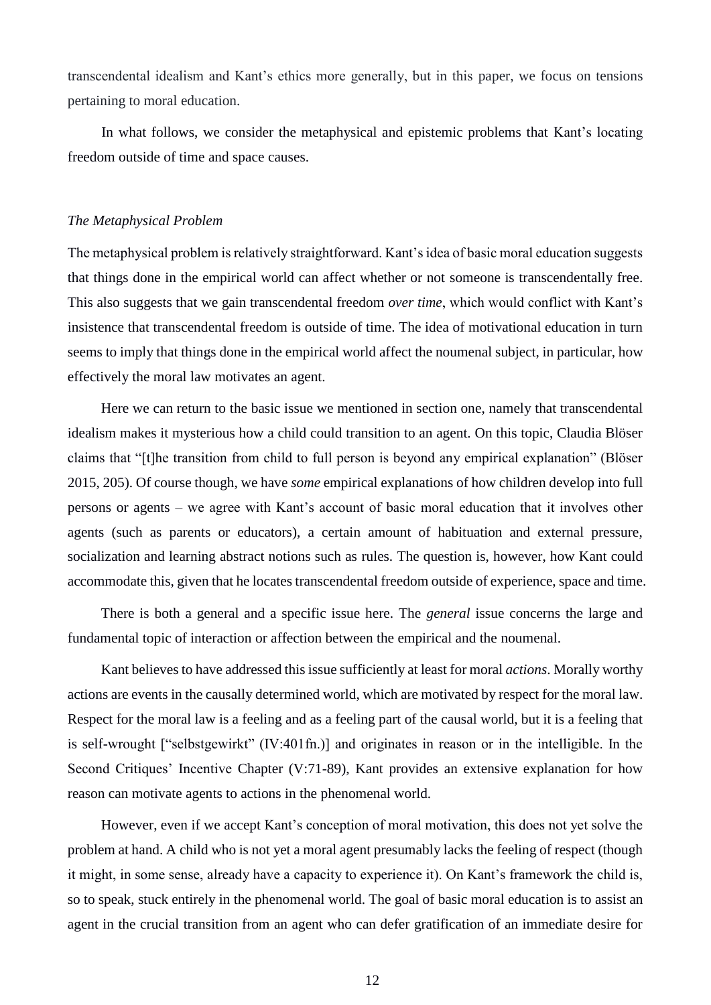transcendental idealism and Kant's ethics more generally, but in this paper, we focus on tensions pertaining to moral education.

In what follows, we consider the metaphysical and epistemic problems that Kant's locating freedom outside of time and space causes.

#### *The Metaphysical Problem*

The metaphysical problem is relatively straightforward. Kant's idea of basic moral education suggests that things done in the empirical world can affect whether or not someone is transcendentally free. This also suggests that we gain transcendental freedom *over time*, which would conflict with Kant's insistence that transcendental freedom is outside of time. The idea of motivational education in turn seems to imply that things done in the empirical world affect the noumenal subject, in particular, how effectively the moral law motivates an agent.

Here we can return to the basic issue we mentioned in section one, namely that transcendental idealism makes it mysterious how a child could transition to an agent. On this topic, Claudia Blöser claims that "[t]he transition from child to full person is beyond any empirical explanation" (Blӧser 2015, 205). Of course though, we have *some* empirical explanations of how children develop into full persons or agents – we agree with Kant's account of basic moral education that it involves other agents (such as parents or educators), a certain amount of habituation and external pressure, socialization and learning abstract notions such as rules. The question is, however, how Kant could accommodate this, given that he locates transcendental freedom outside of experience, space and time.

There is both a general and a specific issue here. The *general* issue concerns the large and fundamental topic of interaction or affection between the empirical and the noumenal.

Kant believes to have addressed this issue sufficiently at least for moral *actions*. Morally worthy actions are events in the causally determined world, which are motivated by respect for the moral law. Respect for the moral law is a feeling and as a feeling part of the causal world, but it is a feeling that is self-wrought ["selbstgewirkt" (IV:401fn.)] and originates in reason or in the intelligible. In the Second Critiques' Incentive Chapter (V:71-89), Kant provides an extensive explanation for how reason can motivate agents to actions in the phenomenal world.

However, even if we accept Kant's conception of moral motivation, this does not yet solve the problem at hand. A child who is not yet a moral agent presumably lacks the feeling of respect (though it might, in some sense, already have a capacity to experience it). On Kant's framework the child is, so to speak, stuck entirely in the phenomenal world. The goal of basic moral education is to assist an agent in the crucial transition from an agent who can defer gratification of an immediate desire for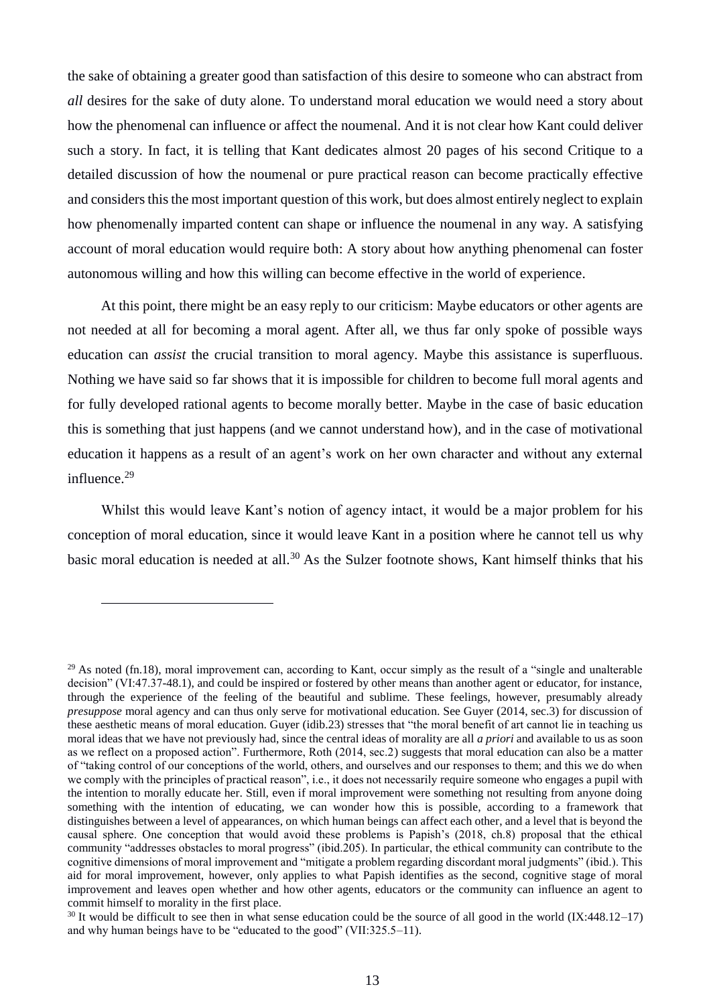the sake of obtaining a greater good than satisfaction of this desire to someone who can abstract from *all* desires for the sake of duty alone. To understand moral education we would need a story about how the phenomenal can influence or affect the noumenal. And it is not clear how Kant could deliver such a story. In fact, it is telling that Kant dedicates almost 20 pages of his second Critique to a detailed discussion of how the noumenal or pure practical reason can become practically effective and considers this the most important question of this work, but does almost entirely neglect to explain how phenomenally imparted content can shape or influence the noumenal in any way. A satisfying account of moral education would require both: A story about how anything phenomenal can foster autonomous willing and how this willing can become effective in the world of experience.

At this point, there might be an easy reply to our criticism: Maybe educators or other agents are not needed at all for becoming a moral agent. After all, we thus far only spoke of possible ways education can *assist* the crucial transition to moral agency. Maybe this assistance is superfluous. Nothing we have said so far shows that it is impossible for children to become full moral agents and for fully developed rational agents to become morally better. Maybe in the case of basic education this is something that just happens (and we cannot understand how), and in the case of motivational education it happens as a result of an agent's work on her own character and without any external influence. 29

Whilst this would leave Kant's notion of agency intact, it would be a major problem for his conception of moral education, since it would leave Kant in a position where he cannot tell us why basic moral education is needed at all.<sup>30</sup> As the Sulzer footnote shows, Kant himself thinks that his

<sup>&</sup>lt;sup>29</sup> As noted (fn.18), moral improvement can, according to Kant, occur simply as the result of a "single and unalterable" decision" (VI:47.37-48.1), and could be inspired or fostered by other means than another agent or educator, for instance, through the experience of the feeling of the beautiful and sublime. These feelings, however, presumably already *presuppose* moral agency and can thus only serve for motivational education. See Guyer (2014, sec.3) for discussion of these aesthetic means of moral education. Guyer (idib.23) stresses that "the moral benefit of art cannot lie in teaching us moral ideas that we have not previously had, since the central ideas of morality are all *a priori* and available to us as soon as we reflect on a proposed action". Furthermore, Roth (2014, sec.2) suggests that moral education can also be a matter of "taking control of our conceptions of the world, others, and ourselves and our responses to them; and this we do when we comply with the principles of practical reason", i.e., it does not necessarily require someone who engages a pupil with the intention to morally educate her. Still, even if moral improvement were something not resulting from anyone doing something with the intention of educating, we can wonder how this is possible, according to a framework that distinguishes between a level of appearances, on which human beings can affect each other, and a level that is beyond the causal sphere. One conception that would avoid these problems is Papish's (2018, ch.8) proposal that the ethical community "addresses obstacles to moral progress" (ibid.205). In particular, the ethical community can contribute to the cognitive dimensions of moral improvement and "mitigate a problem regarding discordant moral judgments" (ibid.). This aid for moral improvement, however, only applies to what Papish identifies as the second, cognitive stage of moral improvement and leaves open whether and how other agents, educators or the community can influence an agent to commit himself to morality in the first place.

 $30$  It would be difficult to see then in what sense education could be the source of all good in the world (IX:448.12–17) and why human beings have to be "educated to the good" (VII:325.5–11).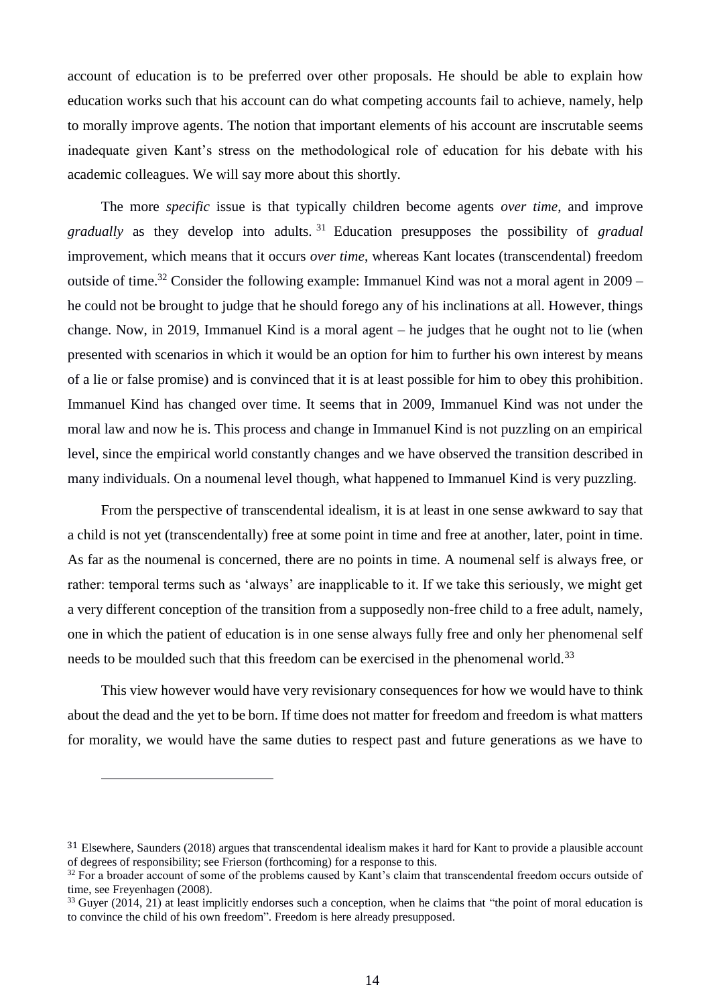account of education is to be preferred over other proposals. He should be able to explain how education works such that his account can do what competing accounts fail to achieve, namely, help to morally improve agents. The notion that important elements of his account are inscrutable seems inadequate given Kant's stress on the methodological role of education for his debate with his academic colleagues. We will say more about this shortly.

The more *specific* issue is that typically children become agents *over time*, and improve *gradually* as they develop into adults. <sup>31</sup> Education presupposes the possibility of *gradual* improvement, which means that it occurs *over time*, whereas Kant locates (transcendental) freedom outside of time.<sup>32</sup> Consider the following example: Immanuel Kind was not a moral agent in 2009 – he could not be brought to judge that he should forego any of his inclinations at all. However, things change. Now, in 2019, Immanuel Kind is a moral agent – he judges that he ought not to lie (when presented with scenarios in which it would be an option for him to further his own interest by means of a lie or false promise) and is convinced that it is at least possible for him to obey this prohibition. Immanuel Kind has changed over time. It seems that in 2009, Immanuel Kind was not under the moral law and now he is. This process and change in Immanuel Kind is not puzzling on an empirical level, since the empirical world constantly changes and we have observed the transition described in many individuals. On a noumenal level though, what happened to Immanuel Kind is very puzzling.

From the perspective of transcendental idealism, it is at least in one sense awkward to say that a child is not yet (transcendentally) free at some point in time and free at another, later, point in time. As far as the noumenal is concerned, there are no points in time. A noumenal self is always free, or rather: temporal terms such as 'always' are inapplicable to it. If we take this seriously, we might get a very different conception of the transition from a supposedly non-free child to a free adult, namely, one in which the patient of education is in one sense always fully free and only her phenomenal self needs to be moulded such that this freedom can be exercised in the phenomenal world.<sup>33</sup>

This view however would have very revisionary consequences for how we would have to think about the dead and the yet to be born. If time does not matter for freedom and freedom is what matters for morality, we would have the same duties to respect past and future generations as we have to

<sup>31</sup> Elsewhere, Saunders (2018) argues that transcendental idealism makes it hard for Kant to provide a plausible account of degrees of responsibility; see Frierson (forthcoming) for a response to this.

<sup>&</sup>lt;sup>32</sup> For a broader account of some of the problems caused by Kant's claim that transcendental freedom occurs outside of time, see Freyenhagen (2008).

 $33$  Guyer (2014, 21) at least implicitly endorses such a conception, when he claims that "the point of moral education is to convince the child of his own freedom". Freedom is here already presupposed.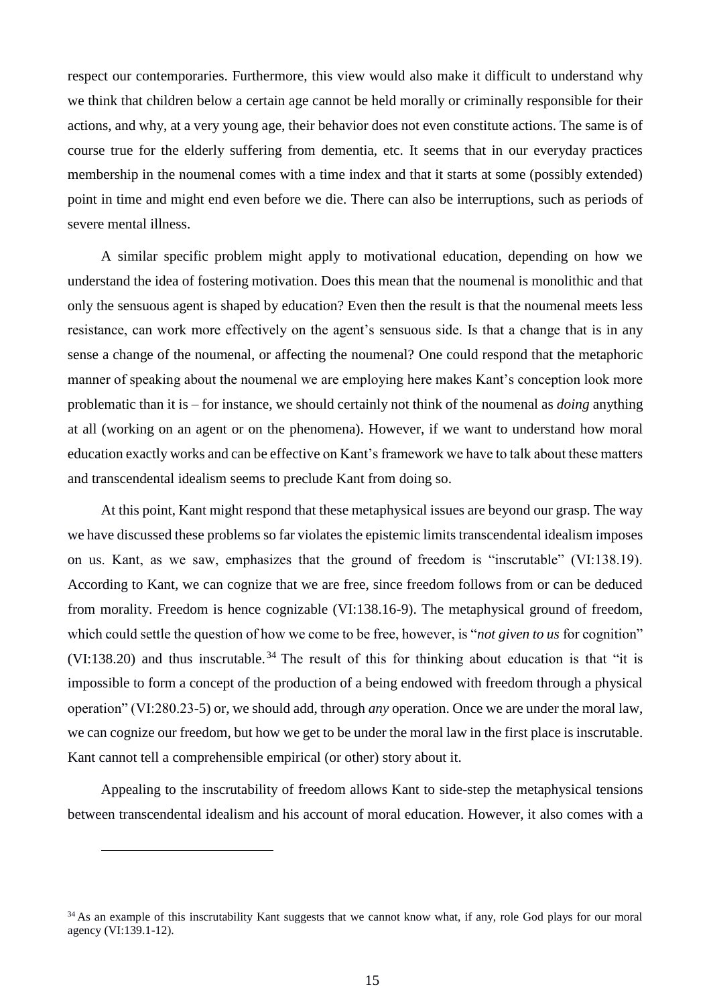respect our contemporaries. Furthermore, this view would also make it difficult to understand why we think that children below a certain age cannot be held morally or criminally responsible for their actions, and why, at a very young age, their behavior does not even constitute actions. The same is of course true for the elderly suffering from dementia, etc. It seems that in our everyday practices membership in the noumenal comes with a time index and that it starts at some (possibly extended) point in time and might end even before we die. There can also be interruptions, such as periods of severe mental illness.

A similar specific problem might apply to motivational education, depending on how we understand the idea of fostering motivation. Does this mean that the noumenal is monolithic and that only the sensuous agent is shaped by education? Even then the result is that the noumenal meets less resistance, can work more effectively on the agent's sensuous side. Is that a change that is in any sense a change of the noumenal, or affecting the noumenal? One could respond that the metaphoric manner of speaking about the noumenal we are employing here makes Kant's conception look more problematic than it is – for instance, we should certainly not think of the noumenal as *doing* anything at all (working on an agent or on the phenomena). However, if we want to understand how moral education exactly works and can be effective on Kant's framework we have to talk about these matters and transcendental idealism seems to preclude Kant from doing so.

At this point, Kant might respond that these metaphysical issues are beyond our grasp. The way we have discussed these problems so far violates the epistemic limits transcendental idealism imposes on us. Kant, as we saw, emphasizes that the ground of freedom is "inscrutable" (VI:138.19). According to Kant, we can cognize that we are free, since freedom follows from or can be deduced from morality. Freedom is hence cognizable (VI:138.16-9). The metaphysical ground of freedom, which could settle the question of how we come to be free, however, is "*not given to us* for cognition" (VI:138.20) and thus inscrutable.<sup>34</sup> The result of this for thinking about education is that "it is impossible to form a concept of the production of a being endowed with freedom through a physical operation" (VI:280.23-5) or, we should add, through *any* operation. Once we are under the moral law, we can cognize our freedom, but how we get to be under the moral law in the first place is inscrutable. Kant cannot tell a comprehensible empirical (or other) story about it.

Appealing to the inscrutability of freedom allows Kant to side-step the metaphysical tensions between transcendental idealism and his account of moral education. However, it also comes with a

<sup>&</sup>lt;sup>34</sup> As an example of this inscrutability Kant suggests that we cannot know what, if any, role God plays for our moral agency (VI:139.1-12).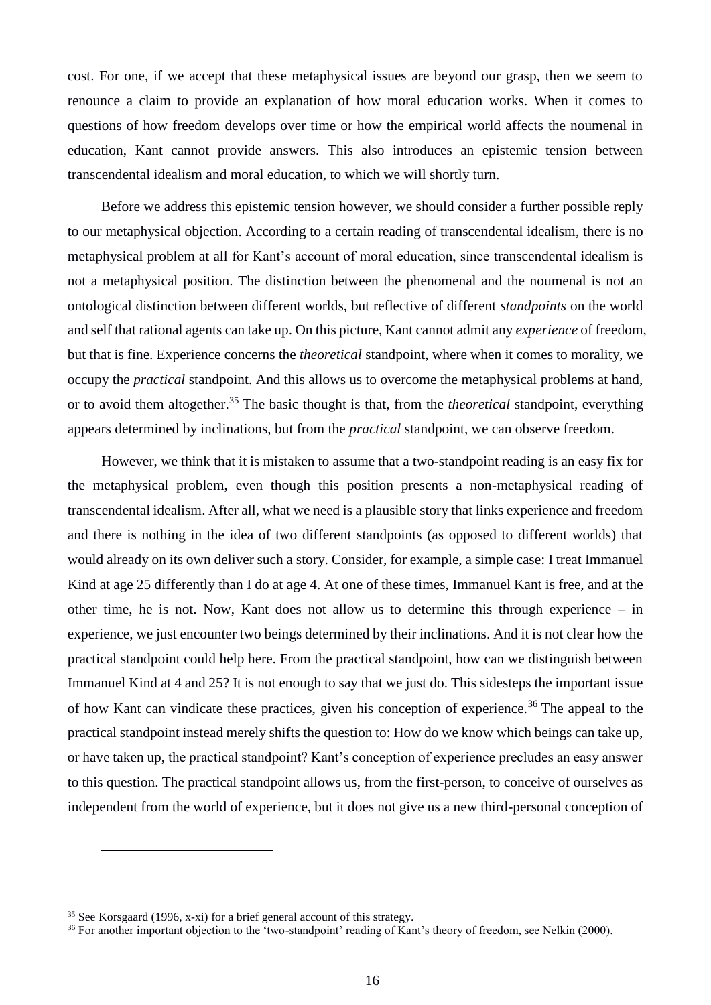cost. For one, if we accept that these metaphysical issues are beyond our grasp, then we seem to renounce a claim to provide an explanation of how moral education works. When it comes to questions of how freedom develops over time or how the empirical world affects the noumenal in education, Kant cannot provide answers. This also introduces an epistemic tension between transcendental idealism and moral education, to which we will shortly turn.

Before we address this epistemic tension however, we should consider a further possible reply to our metaphysical objection. According to a certain reading of transcendental idealism, there is no metaphysical problem at all for Kant's account of moral education, since transcendental idealism is not a metaphysical position. The distinction between the phenomenal and the noumenal is not an ontological distinction between different worlds, but reflective of different *standpoints* on the world and self that rational agents can take up. On this picture, Kant cannot admit any *experience* of freedom, but that is fine. Experience concerns the *theoretical* standpoint, where when it comes to morality, we occupy the *practical* standpoint. And this allows us to overcome the metaphysical problems at hand, or to avoid them altogether. <sup>35</sup> The basic thought is that, from the *theoretical* standpoint, everything appears determined by inclinations, but from the *practical* standpoint, we can observe freedom.

However, we think that it is mistaken to assume that a two-standpoint reading is an easy fix for the metaphysical problem, even though this position presents a non-metaphysical reading of transcendental idealism. After all, what we need is a plausible story that links experience and freedom and there is nothing in the idea of two different standpoints (as opposed to different worlds) that would already on its own deliver such a story. Consider, for example, a simple case: I treat Immanuel Kind at age 25 differently than I do at age 4. At one of these times, Immanuel Kant is free, and at the other time, he is not. Now, Kant does not allow us to determine this through experience  $-$  in experience, we just encounter two beings determined by their inclinations. And it is not clear how the practical standpoint could help here. From the practical standpoint, how can we distinguish between Immanuel Kind at 4 and 25? It is not enough to say that we just do. This sidesteps the important issue of how Kant can vindicate these practices, given his conception of experience.<sup>36</sup> The appeal to the practical standpoint instead merely shifts the question to: How do we know which beings can take up, or have taken up, the practical standpoint? Kant's conception of experience precludes an easy answer to this question. The practical standpoint allows us, from the first-person, to conceive of ourselves as independent from the world of experience, but it does not give us a new third-personal conception of

<sup>35</sup> See Korsgaard (1996, x-xi) for a brief general account of this strategy.

<sup>&</sup>lt;sup>36</sup> For another important objection to the 'two-standpoint' reading of Kant's theory of freedom, see Nelkin (2000).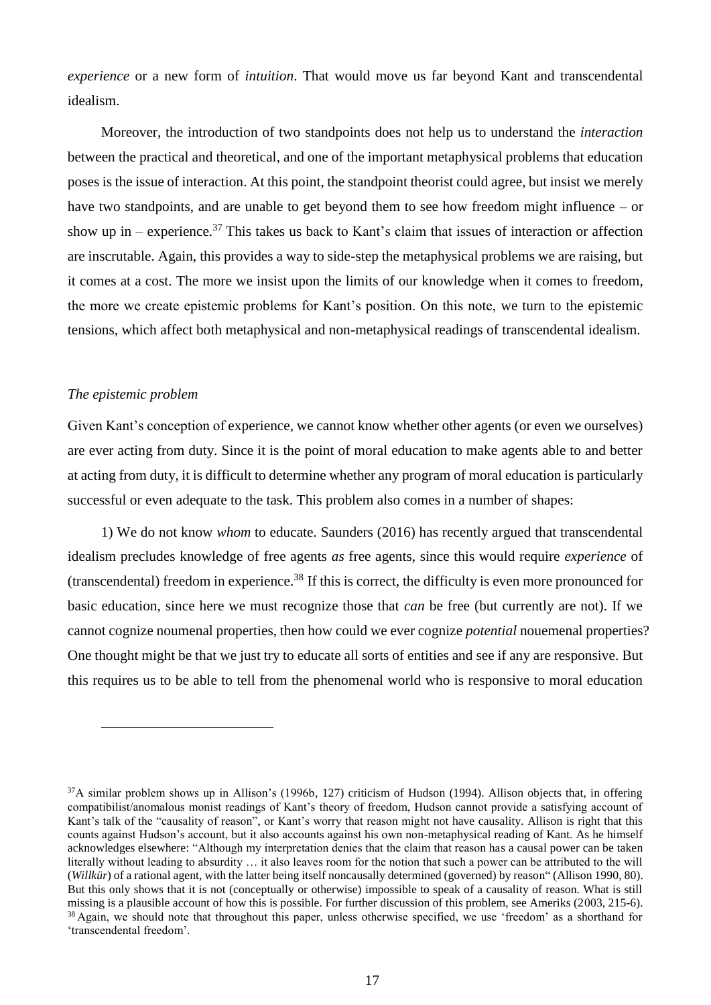*experience* or a new form of *intuition*. That would move us far beyond Kant and transcendental idealism.

Moreover, the introduction of two standpoints does not help us to understand the *interaction* between the practical and theoretical, and one of the important metaphysical problems that education poses is the issue of interaction. At this point, the standpoint theorist could agree, but insist we merely have two standpoints, and are unable to get beyond them to see how freedom might influence – or show up in – experience.<sup>37</sup> This takes us back to Kant's claim that issues of interaction or affection are inscrutable. Again, this provides a way to side-step the metaphysical problems we are raising, but it comes at a cost. The more we insist upon the limits of our knowledge when it comes to freedom, the more we create epistemic problems for Kant's position. On this note, we turn to the epistemic tensions, which affect both metaphysical and non-metaphysical readings of transcendental idealism.

#### *The epistemic problem*

 $\overline{a}$ 

Given Kant's conception of experience, we cannot know whether other agents (or even we ourselves) are ever acting from duty. Since it is the point of moral education to make agents able to and better at acting from duty, it is difficult to determine whether any program of moral education is particularly successful or even adequate to the task. This problem also comes in a number of shapes:

1) We do not know *whom* to educate. Saunders (2016) has recently argued that transcendental idealism precludes knowledge of free agents *as* free agents, since this would require *experience* of (transcendental) freedom in experience. <sup>38</sup> If this is correct, the difficulty is even more pronounced for basic education, since here we must recognize those that *can* be free (but currently are not). If we cannot cognize noumenal properties, then how could we ever cognize *potential* nouemenal properties? One thought might be that we just try to educate all sorts of entities and see if any are responsive. But this requires us to be able to tell from the phenomenal world who is responsive to moral education

 $37A$  similar problem shows up in Allison's (1996b, 127) criticism of Hudson (1994). Allison objects that, in offering compatibilist/anomalous monist readings of Kant's theory of freedom, Hudson cannot provide a satisfying account of Kant's talk of the "causality of reason", or Kant's worry that reason might not have causality. Allison is right that this counts against Hudson's account, but it also accounts against his own non-metaphysical reading of Kant. As he himself acknowledges elsewhere: "Although my interpretation denies that the claim that reason has a causal power can be taken literally without leading to absurdity … it also leaves room for the notion that such a power can be attributed to the will (*Willkür*) of a rational agent, with the latter being itself noncausally determined (governed) by reason" (Allison 1990, 80). But this only shows that it is not (conceptually or otherwise) impossible to speak of a causality of reason. What is still missing is a plausible account of how this is possible. For further discussion of this problem, see Ameriks (2003, 215-6). <sup>38</sup> Again, we should note that throughout this paper, unless otherwise specified, we use 'freedom' as a shorthand for 'transcendental freedom'.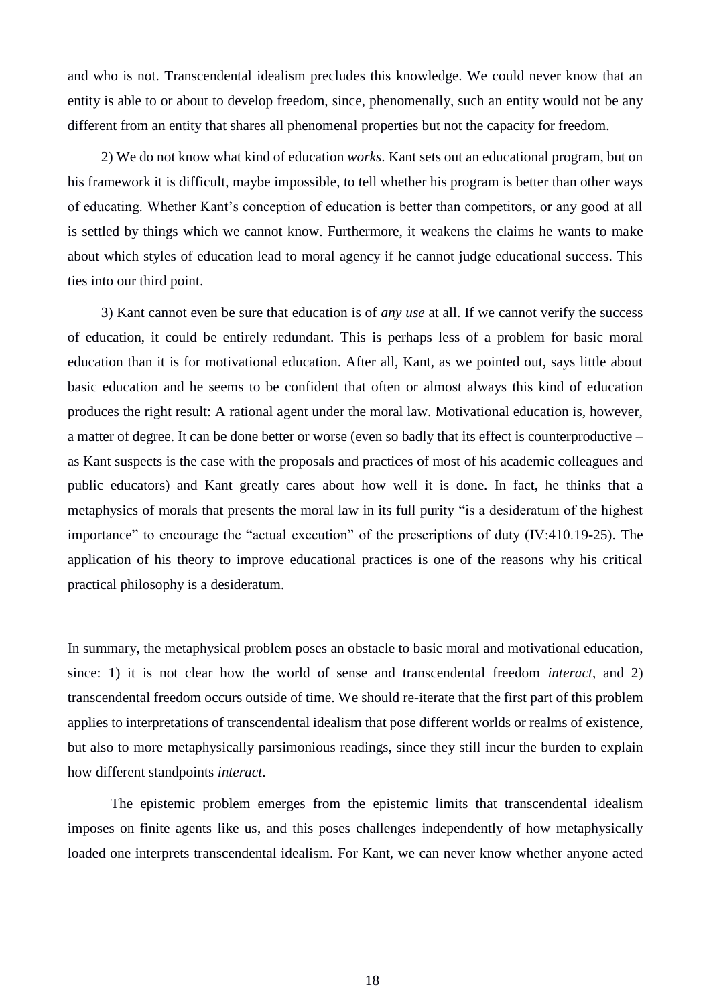and who is not. Transcendental idealism precludes this knowledge. We could never know that an entity is able to or about to develop freedom, since, phenomenally, such an entity would not be any different from an entity that shares all phenomenal properties but not the capacity for freedom.

2) We do not know what kind of education *works*. Kant sets out an educational program, but on his framework it is difficult, maybe impossible, to tell whether his program is better than other ways of educating. Whether Kant's conception of education is better than competitors, or any good at all is settled by things which we cannot know. Furthermore, it weakens the claims he wants to make about which styles of education lead to moral agency if he cannot judge educational success. This ties into our third point.

3) Kant cannot even be sure that education is of *any use* at all. If we cannot verify the success of education, it could be entirely redundant. This is perhaps less of a problem for basic moral education than it is for motivational education. After all, Kant, as we pointed out, says little about basic education and he seems to be confident that often or almost always this kind of education produces the right result: A rational agent under the moral law. Motivational education is, however, a matter of degree. It can be done better or worse (even so badly that its effect is counterproductive – as Kant suspects is the case with the proposals and practices of most of his academic colleagues and public educators) and Kant greatly cares about how well it is done. In fact, he thinks that a metaphysics of morals that presents the moral law in its full purity "is a desideratum of the highest importance" to encourage the "actual execution" of the prescriptions of duty (IV:410.19-25). The application of his theory to improve educational practices is one of the reasons why his critical practical philosophy is a desideratum.

In summary, the metaphysical problem poses an obstacle to basic moral and motivational education, since: 1) it is not clear how the world of sense and transcendental freedom *interact*, and 2) transcendental freedom occurs outside of time. We should re-iterate that the first part of this problem applies to interpretations of transcendental idealism that pose different worlds or realms of existence, but also to more metaphysically parsimonious readings, since they still incur the burden to explain how different standpoints *interact*.

The epistemic problem emerges from the epistemic limits that transcendental idealism imposes on finite agents like us, and this poses challenges independently of how metaphysically loaded one interprets transcendental idealism. For Kant, we can never know whether anyone acted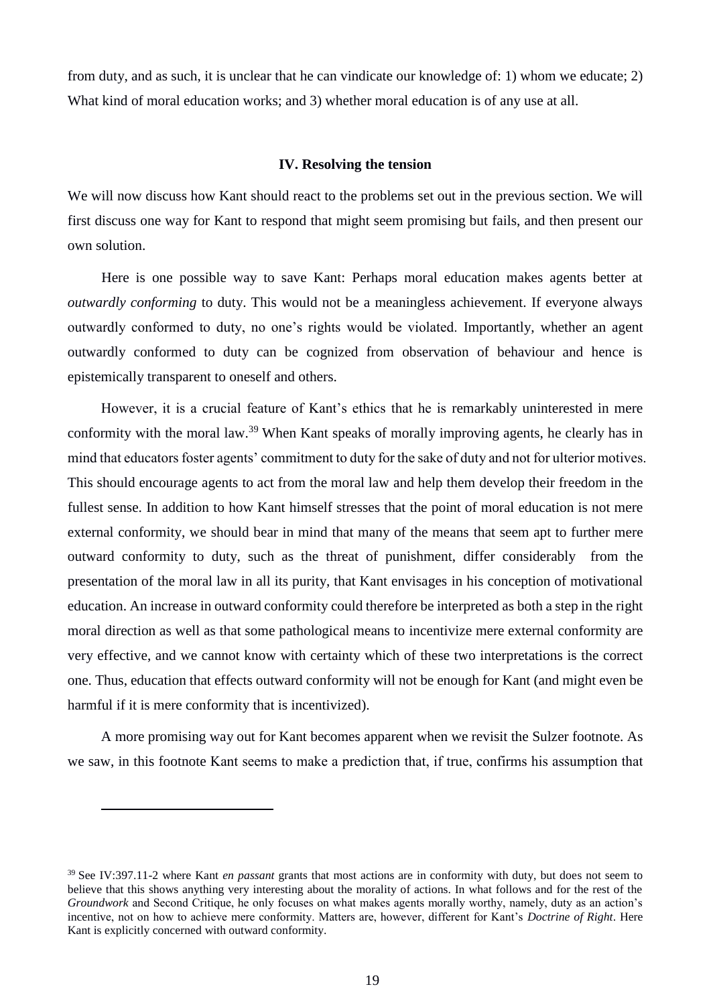from duty, and as such, it is unclear that he can vindicate our knowledge of: 1) whom we educate; 2) What kind of moral education works; and 3) whether moral education is of any use at all.

#### **IV. Resolving the tension**

We will now discuss how Kant should react to the problems set out in the previous section. We will first discuss one way for Kant to respond that might seem promising but fails, and then present our own solution.

Here is one possible way to save Kant: Perhaps moral education makes agents better at *outwardly conforming* to duty. This would not be a meaningless achievement. If everyone always outwardly conformed to duty, no one's rights would be violated. Importantly, whether an agent outwardly conformed to duty can be cognized from observation of behaviour and hence is epistemically transparent to oneself and others.

However, it is a crucial feature of Kant's ethics that he is remarkably uninterested in mere conformity with the moral law.<sup>39</sup> When Kant speaks of morally improving agents, he clearly has in mind that educators foster agents' commitment to duty for the sake of duty and not for ulterior motives. This should encourage agents to act from the moral law and help them develop their freedom in the fullest sense. In addition to how Kant himself stresses that the point of moral education is not mere external conformity, we should bear in mind that many of the means that seem apt to further mere outward conformity to duty, such as the threat of punishment, differ considerably from the presentation of the moral law in all its purity, that Kant envisages in his conception of motivational education. An increase in outward conformity could therefore be interpreted as both a step in the right moral direction as well as that some pathological means to incentivize mere external conformity are very effective, and we cannot know with certainty which of these two interpretations is the correct one. Thus, education that effects outward conformity will not be enough for Kant (and might even be harmful if it is mere conformity that is incentivized).

A more promising way out for Kant becomes apparent when we revisit the Sulzer footnote. As we saw, in this footnote Kant seems to make a prediction that, if true, confirms his assumption that

<sup>39</sup> See IV:397.11-2 where Kant *en passant* grants that most actions are in conformity with duty, but does not seem to believe that this shows anything very interesting about the morality of actions. In what follows and for the rest of the *Groundwork* and Second Critique, he only focuses on what makes agents morally worthy, namely, duty as an action's incentive, not on how to achieve mere conformity. Matters are, however, different for Kant's *Doctrine of Right*. Here Kant is explicitly concerned with outward conformity.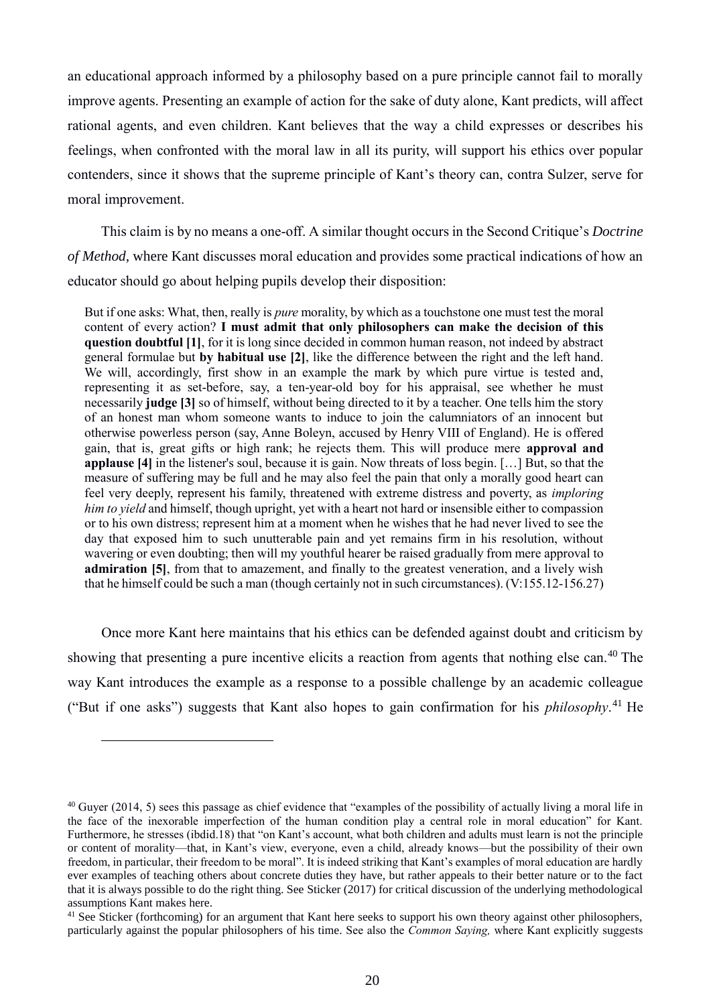an educational approach informed by a philosophy based on a pure principle cannot fail to morally improve agents. Presenting an example of action for the sake of duty alone, Kant predicts, will affect rational agents, and even children. Kant believes that the way a child expresses or describes his feelings, when confronted with the moral law in all its purity, will support his ethics over popular contenders, since it shows that the supreme principle of Kant's theory can, contra Sulzer, serve for moral improvement.

This claim is by no means a one-off. A similar thought occurs in the Second Critique's *Doctrine of Method,* where Kant discusses moral education and provides some practical indications of how an educator should go about helping pupils develop their disposition:

But if one asks: What, then, really is *pure* morality, by which as a touchstone one must test the moral content of every action? **I must admit that only philosophers can make the decision of this question doubtful [1]**, for it is long since decided in common human reason, not indeed by abstract general formulae but **by habitual use [2]**, like the difference between the right and the left hand. We will, accordingly, first show in an example the mark by which pure virtue is tested and, representing it as set-before, say, a ten-year-old boy for his appraisal, see whether he must necessarily **judge [3]** so of himself, without being directed to it by a teacher. One tells him the story of an honest man whom someone wants to induce to join the calumniators of an innocent but otherwise powerless person (say, Anne Boleyn, accused by Henry VIII of England). He is offered gain, that is, great gifts or high rank; he rejects them. This will produce mere **approval and applause [4]** in the listener's soul, because it is gain. Now threats of loss begin. […] But, so that the measure of suffering may be full and he may also feel the pain that only a morally good heart can feel very deeply, represent his family, threatened with extreme distress and poverty, as *imploring him to yield* and himself, though upright, yet with a heart not hard or insensible either to compassion or to his own distress; represent him at a moment when he wishes that he had never lived to see the day that exposed him to such unutterable pain and yet remains firm in his resolution, without wavering or even doubting; then will my youthful hearer be raised gradually from mere approval to **admiration [5]**, from that to amazement, and finally to the greatest veneration, and a lively wish that he himself could be such a man (though certainly not in such circumstances). (V:155.12-156.27)

Once more Kant here maintains that his ethics can be defended against doubt and criticism by showing that presenting a pure incentive elicits a reaction from agents that nothing else can.<sup>40</sup> The way Kant introduces the example as a response to a possible challenge by an academic colleague ("But if one asks") suggests that Kant also hopes to gain confirmation for his *philosophy*. 41 He

 $40$  Guyer (2014, 5) sees this passage as chief evidence that "examples of the possibility of actually living a moral life in the face of the inexorable imperfection of the human condition play a central role in moral education" for Kant. Furthermore, he stresses (ibdid.18) that "on Kant's account, what both children and adults must learn is not the principle or content of morality—that, in Kant's view, everyone, even a child, already knows—but the possibility of their own freedom, in particular, their freedom to be moral". It is indeed striking that Kant's examples of moral education are hardly ever examples of teaching others about concrete duties they have, but rather appeals to their better nature or to the fact that it is always possible to do the right thing. See Sticker (2017) for critical discussion of the underlying methodological assumptions Kant makes here.

<sup>&</sup>lt;sup>41</sup> See Sticker (forthcoming) for an argument that Kant here seeks to support his own theory against other philosophers, particularly against the popular philosophers of his time. See also the *Common Saying,* where Kant explicitly suggests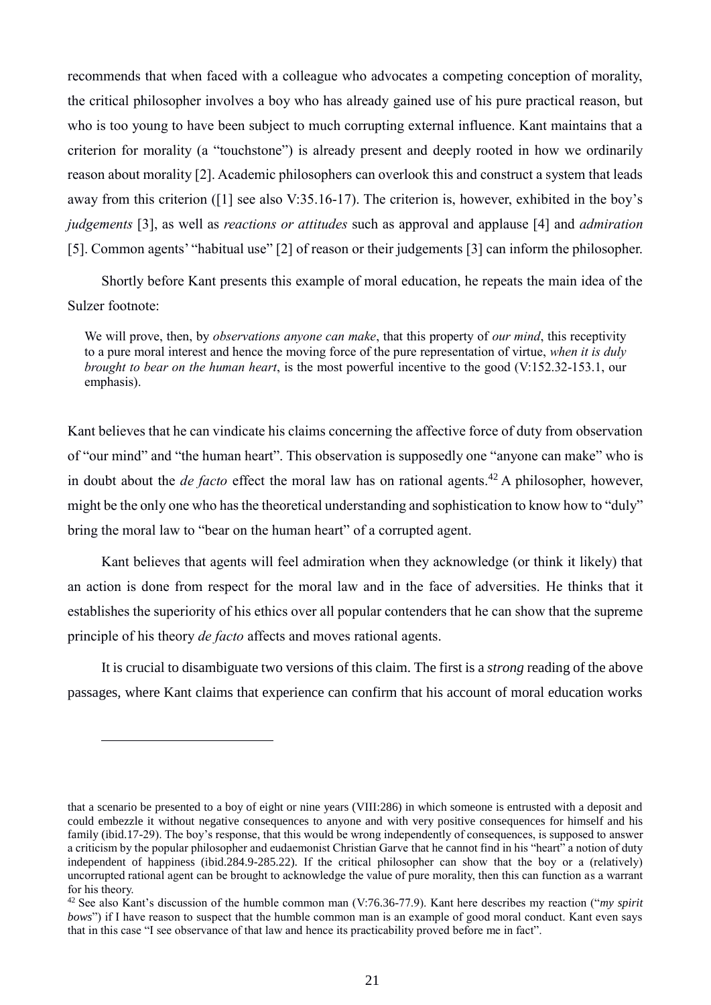recommends that when faced with a colleague who advocates a competing conception of morality, the critical philosopher involves a boy who has already gained use of his pure practical reason, but who is too young to have been subject to much corrupting external influence. Kant maintains that a criterion for morality (a "touchstone") is already present and deeply rooted in how we ordinarily reason about morality [2]. Academic philosophers can overlook this and construct a system that leads away from this criterion ([1] see also V:35.16-17). The criterion is, however, exhibited in the boy's *judgements* [3], as well as *reactions or attitudes* such as approval and applause [4] and *admiration* [5]. Common agents' "habitual use" [2] of reason or their judgements [3] can inform the philosopher.

Shortly before Kant presents this example of moral education, he repeats the main idea of the Sulzer footnote:

We will prove, then, by *observations anyone can make*, that this property of *our mind*, this receptivity to a pure moral interest and hence the moving force of the pure representation of virtue, *when it is duly brought to bear on the human heart*, is the most powerful incentive to the good (V:152.32-153.1, our emphasis).

Kant believes that he can vindicate his claims concerning the affective force of duty from observation of "our mind" and "the human heart". This observation is supposedly one "anyone can make" who is in doubt about the *de facto* effect the moral law has on rational agents.<sup>42</sup> A philosopher, however, might be the only one who has the theoretical understanding and sophistication to know how to "duly" bring the moral law to "bear on the human heart" of a corrupted agent.

Kant believes that agents will feel admiration when they acknowledge (or think it likely) that an action is done from respect for the moral law and in the face of adversities. He thinks that it establishes the superiority of his ethics over all popular contenders that he can show that the supreme principle of his theory *de facto* affects and moves rational agents.

It is crucial to disambiguate two versions of this claim. The first is a *strong* reading of the above passages, where Kant claims that experience can confirm that his account of moral education works

that a scenario be presented to a boy of eight or nine years (VIII:286) in which someone is entrusted with a deposit and could embezzle it without negative consequences to anyone and with very positive consequences for himself and his family (ibid.17-29). The boy's response, that this would be wrong independently of consequences, is supposed to answer a criticism by the popular philosopher and eudaemonist Christian Garve that he cannot find in his "heart" a notion of duty independent of happiness (ibid.284.9-285.22). If the critical philosopher can show that the boy or a (relatively) uncorrupted rational agent can be brought to acknowledge the value of pure morality, then this can function as a warrant for his theory.

<sup>42</sup> See also Kant's discussion of the humble common man (V:76.36-77.9). Kant here describes my reaction ("*my spirit bows*") if I have reason to suspect that the humble common man is an example of good moral conduct. Kant even says that in this case "I see observance of that law and hence its practicability proved before me in fact".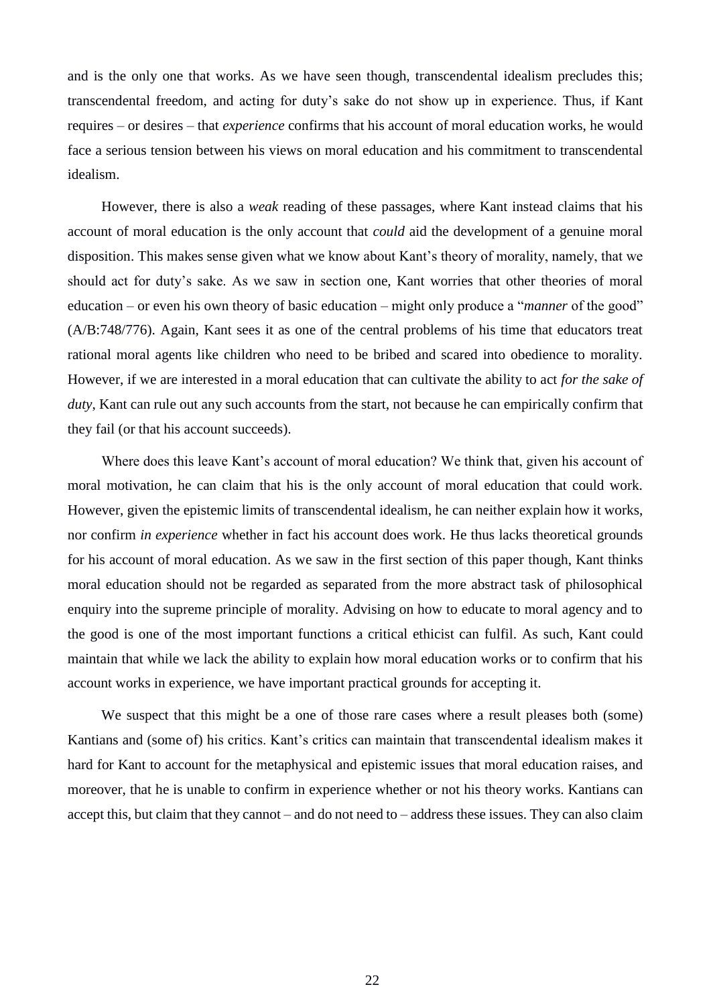and is the only one that works. As we have seen though, transcendental idealism precludes this; transcendental freedom, and acting for duty's sake do not show up in experience. Thus, if Kant requires – or desires – that *experience* confirms that his account of moral education works, he would face a serious tension between his views on moral education and his commitment to transcendental idealism.

However, there is also a *weak* reading of these passages, where Kant instead claims that his account of moral education is the only account that *could* aid the development of a genuine moral disposition. This makes sense given what we know about Kant's theory of morality, namely, that we should act for duty's sake. As we saw in section one, Kant worries that other theories of moral education – or even his own theory of basic education – might only produce a "*manner* of the good" (A/B:748/776). Again, Kant sees it as one of the central problems of his time that educators treat rational moral agents like children who need to be bribed and scared into obedience to morality. However, if we are interested in a moral education that can cultivate the ability to act *for the sake of duty*, Kant can rule out any such accounts from the start, not because he can empirically confirm that they fail (or that his account succeeds).

Where does this leave Kant's account of moral education? We think that, given his account of moral motivation, he can claim that his is the only account of moral education that could work. However, given the epistemic limits of transcendental idealism, he can neither explain how it works, nor confirm *in experience* whether in fact his account does work. He thus lacks theoretical grounds for his account of moral education. As we saw in the first section of this paper though, Kant thinks moral education should not be regarded as separated from the more abstract task of philosophical enquiry into the supreme principle of morality. Advising on how to educate to moral agency and to the good is one of the most important functions a critical ethicist can fulfil. As such, Kant could maintain that while we lack the ability to explain how moral education works or to confirm that his account works in experience, we have important practical grounds for accepting it.

We suspect that this might be a one of those rare cases where a result pleases both (some) Kantians and (some of) his critics. Kant's critics can maintain that transcendental idealism makes it hard for Kant to account for the metaphysical and epistemic issues that moral education raises, and moreover, that he is unable to confirm in experience whether or not his theory works. Kantians can accept this, but claim that they cannot – and do not need to – address these issues. They can also claim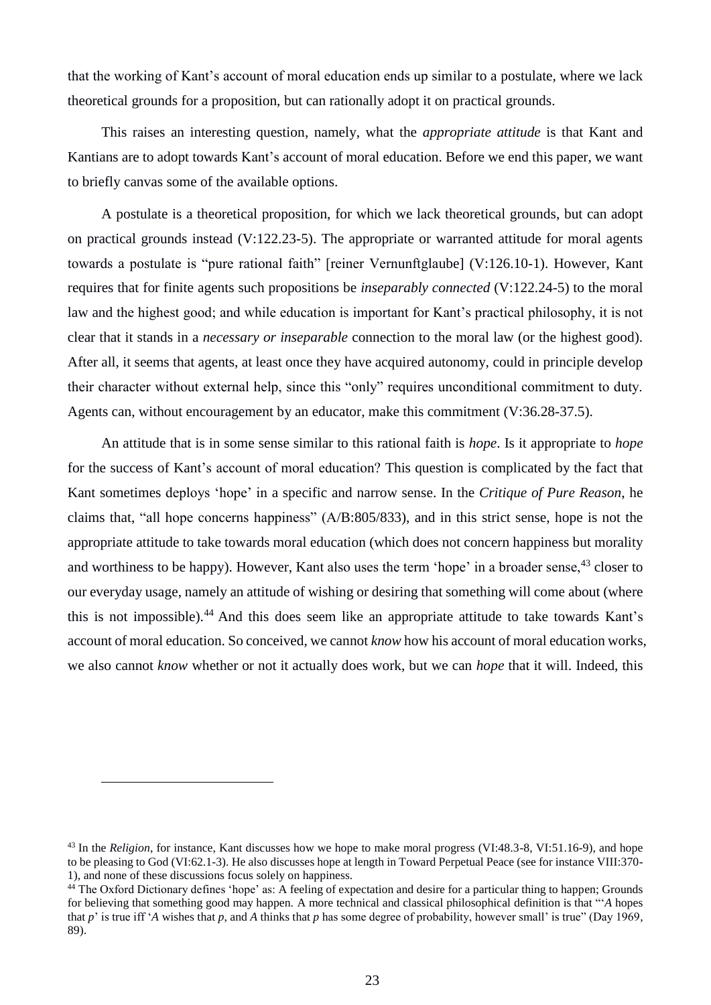that the working of Kant's account of moral education ends up similar to a postulate, where we lack theoretical grounds for a proposition, but can rationally adopt it on practical grounds.

This raises an interesting question, namely, what the *appropriate attitude* is that Kant and Kantians are to adopt towards Kant's account of moral education. Before we end this paper, we want to briefly canvas some of the available options.

A postulate is a theoretical proposition, for which we lack theoretical grounds, but can adopt on practical grounds instead (V:122.23-5). The appropriate or warranted attitude for moral agents towards a postulate is "pure rational faith" [reiner Vernunftglaube] (V:126.10-1). However, Kant requires that for finite agents such propositions be *inseparably connected* (V:122.24-5) to the moral law and the highest good; and while education is important for Kant's practical philosophy, it is not clear that it stands in a *necessary or inseparable* connection to the moral law (or the highest good). After all, it seems that agents, at least once they have acquired autonomy, could in principle develop their character without external help, since this "only" requires unconditional commitment to duty. Agents can, without encouragement by an educator, make this commitment (V:36.28-37.5).

An attitude that is in some sense similar to this rational faith is *hope*. Is it appropriate to *hope* for the success of Kant's account of moral education? This question is complicated by the fact that Kant sometimes deploys 'hope' in a specific and narrow sense. In the *Critique of Pure Reason*, he claims that, "all hope concerns happiness" (A/B:805/833), and in this strict sense, hope is not the appropriate attitude to take towards moral education (which does not concern happiness but morality and worthiness to be happy). However, Kant also uses the term 'hope' in a broader sense.<sup>43</sup> closer to our everyday usage, namely an attitude of wishing or desiring that something will come about (where this is not impossible). <sup>44</sup> And this does seem like an appropriate attitude to take towards Kant's account of moral education. So conceived, we cannot *know* how his account of moral education works, we also cannot *know* whether or not it actually does work, but we can *hope* that it will. Indeed, this

<sup>&</sup>lt;sup>43</sup> In the *Religion*, for instance, Kant discusses how we hope to make moral progress (VI:48.3-8, VI:51.16-9), and hope to be pleasing to God (VI:62.1-3). He also discusses hope at length in Toward Perpetual Peace (see for instance VIII:370- 1), and none of these discussions focus solely on happiness.

<sup>&</sup>lt;sup>44</sup> The Oxford Dictionary defines 'hope' as: A feeling of expectation and desire for a particular thing to happen; Grounds for believing that something good may happen. A more technical and classical philosophical definition is that "'*A* hopes that *p*' is true iff '*A* wishes that *p*, and *A* thinks that *p* has some degree of probability, however small' is true" (Day 1969, 89).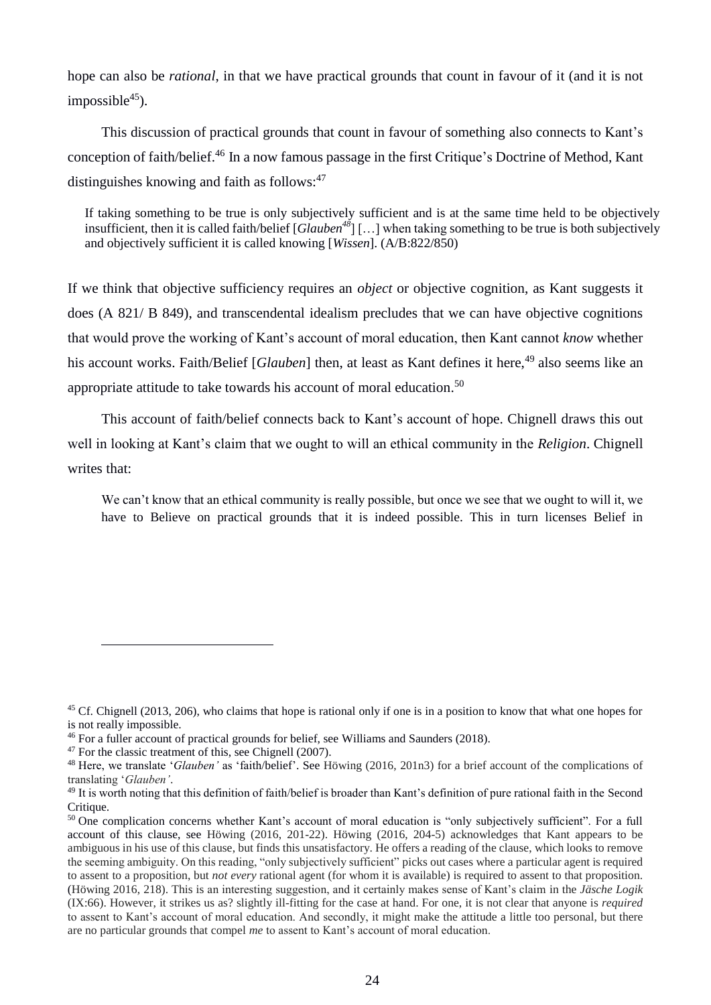hope can also be *rational*, in that we have practical grounds that count in favour of it (and it is not  $impossible<sup>45</sup>$ ).

This discussion of practical grounds that count in favour of something also connects to Kant's conception of faith/belief. <sup>46</sup> In a now famous passage in the first Critique's Doctrine of Method, Kant distinguishes knowing and faith as follows: $47$ 

If taking something to be true is only subjectively sufficient and is at the same time held to be objectively insufficient, then it is called faith/belief  $[Glauben^{48}]$  [...] when taking something to be true is both subjectively and objectively sufficient it is called knowing [*Wissen*]. (A/B:822/850)

If we think that objective sufficiency requires an *object* or objective cognition, as Kant suggests it does (A 821/ B 849), and transcendental idealism precludes that we can have objective cognitions that would prove the working of Kant's account of moral education, then Kant cannot *know* whether his account works. Faith/Belief [*Glauben*] then, at least as Kant defines it here,<sup>49</sup> also seems like an appropriate attitude to take towards his account of moral education.<sup>50</sup>

This account of faith/belief connects back to Kant's account of hope. Chignell draws this out well in looking at Kant's claim that we ought to will an ethical community in the *Religion*. Chignell writes that:

We can't know that an ethical community is really possible, but once we see that we ought to will it, we have to Believe on practical grounds that it is indeed possible. This in turn licenses Belief in

<sup>&</sup>lt;sup>45</sup> Cf. Chignell (2013, 206), who claims that hope is rational only if one is in a position to know that what one hopes for is not really impossible.

<sup>46</sup> For a fuller account of practical grounds for belief, see Williams and Saunders (2018).

<sup>&</sup>lt;sup>47</sup> For the classic treatment of this, see Chignell (2007).

<sup>48</sup> Here, we translate '*Glauben'* as 'faith/belief'. See Höwing (2016, 201n3) for a brief account of the complications of translating '*Glauben'*.

 $49$  It is worth noting that this definition of faith/belief is broader than Kant's definition of pure rational faith in the Second Critique.

<sup>50</sup> One complication concerns whether Kant's account of moral education is "only subjectively sufficient". For a full account of this clause, see Höwing (2016, 201-22). Höwing (2016, 204-5) acknowledges that Kant appears to be ambiguous in his use of this clause, but finds this unsatisfactory. He offers a reading of the clause, which looks to remove the seeming ambiguity. On this reading, "only subjectively sufficient" picks out cases where a particular agent is required to assent to a proposition, but *not every* rational agent (for whom it is available) is required to assent to that proposition. (Höwing 2016, 218). This is an interesting suggestion, and it certainly makes sense of Kant's claim in the *Jäsche Logik* (IX:66). However, it strikes us as? slightly ill-fitting for the case at hand. For one, it is not clear that anyone is *required* to assent to Kant's account of moral education. And secondly, it might make the attitude a little too personal, but there are no particular grounds that compel *me* to assent to Kant's account of moral education.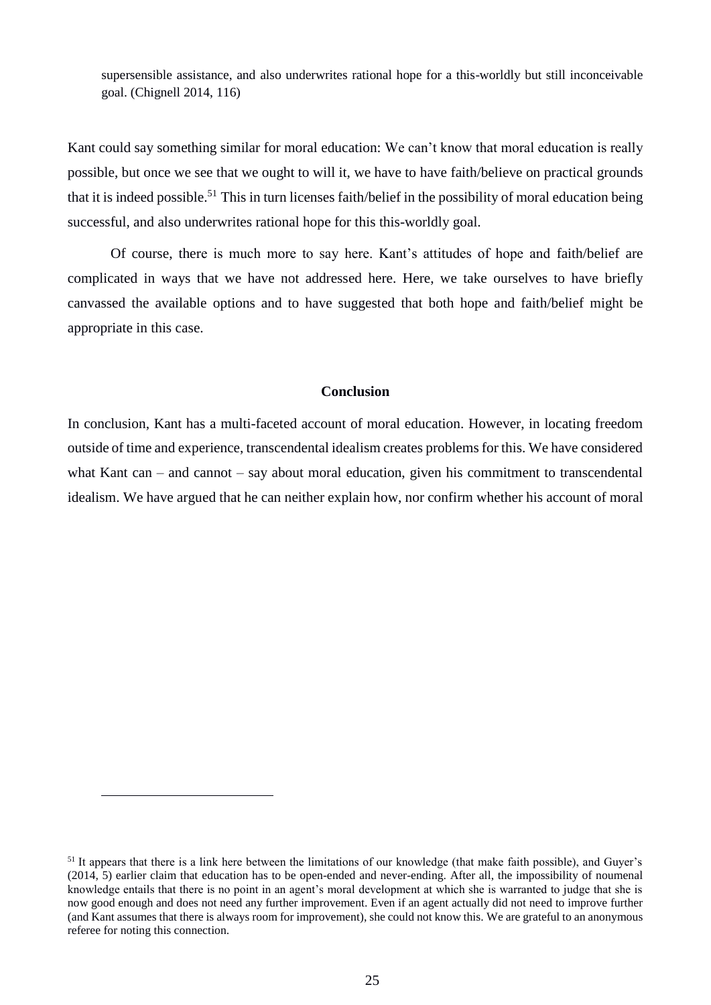supersensible assistance, and also underwrites rational hope for a this-worldly but still inconceivable goal. (Chignell 2014, 116)

Kant could say something similar for moral education: We can't know that moral education is really possible, but once we see that we ought to will it, we have to have faith/believe on practical grounds that it is indeed possible.<sup>51</sup> This in turn licenses faith/belief in the possibility of moral education being successful, and also underwrites rational hope for this this-worldly goal.

Of course, there is much more to say here. Kant's attitudes of hope and faith/belief are complicated in ways that we have not addressed here. Here, we take ourselves to have briefly canvassed the available options and to have suggested that both hope and faith/belief might be appropriate in this case.

#### **Conclusion**

In conclusion, Kant has a multi-faceted account of moral education. However, in locating freedom outside of time and experience, transcendental idealism creates problems for this. We have considered what Kant can – and cannot – say about moral education, given his commitment to transcendental idealism. We have argued that he can neither explain how, nor confirm whether his account of moral

<sup>&</sup>lt;sup>51</sup> It appears that there is a link here between the limitations of our knowledge (that make faith possible), and Guyer's (2014, 5) earlier claim that education has to be open-ended and never-ending. After all, the impossibility of noumenal knowledge entails that there is no point in an agent's moral development at which she is warranted to judge that she is now good enough and does not need any further improvement. Even if an agent actually did not need to improve further (and Kant assumes that there is always room for improvement), she could not know this. We are grateful to an anonymous referee for noting this connection.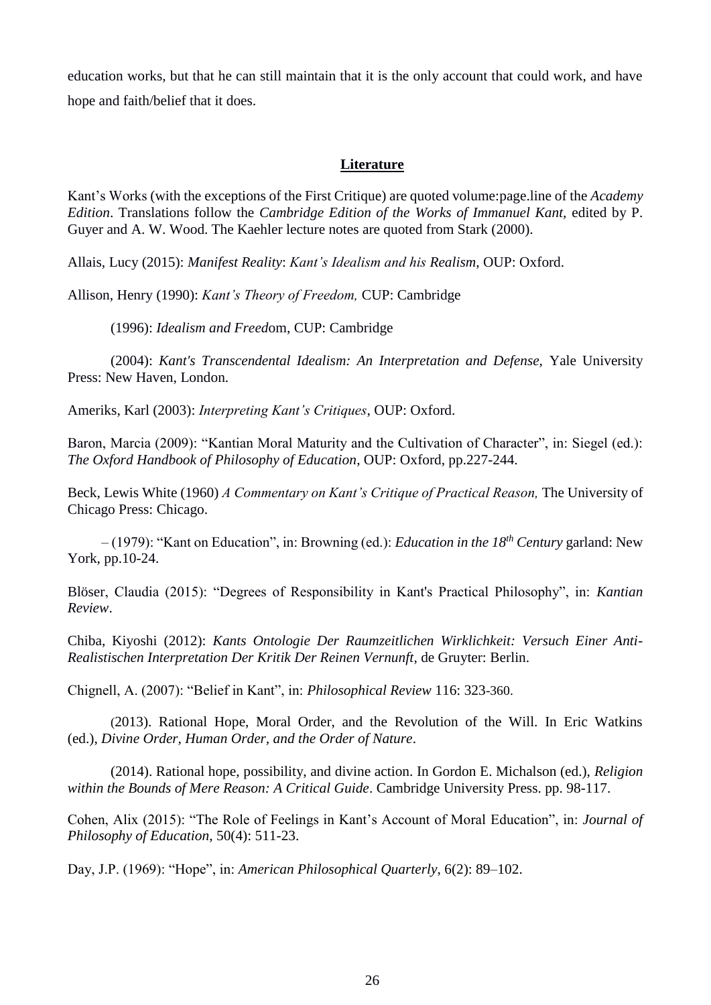education works, but that he can still maintain that it is the only account that could work, and have hope and faith/belief that it does.

## **Literature**

Kant's Works (with the exceptions of the First Critique) are quoted volume:page.line of the *Academy Edition*. Translations follow the *Cambridge Edition of the Works of Immanuel Kant,* edited by P. Guyer and A. W. Wood. The Kaehler lecture notes are quoted from Stark (2000).

Allais, Lucy (2015): *Manifest Reality*: *Kant's Idealism and his Realism*, OUP: Oxford.

Allison, Henry (1990): *Kant's Theory of Freedom,* CUP: Cambridge

(1996): *Idealism and Freed*om, CUP: Cambridge

(2004): *Kant's Transcendental Idealism: An Interpretation and Defense,* Yale University Press: New Haven, London.

Ameriks, Karl (2003): *Interpreting Kant's Critiques*, OUP: Oxford.

Baron, Marcia (2009): "Kantian Moral Maturity and the Cultivation of Character", in: Siegel (ed.): *The Oxford Handbook of Philosophy of Education*, OUP: Oxford, pp.227-244.

Beck, Lewis White (1960) *A Commentary on Kant's Critique of Practical Reason,* The University of Chicago Press: Chicago.

– (1979): "Kant on Education", in: Browning (ed.): *Education in the 18th Century* garland: New York, pp.10-24.

Blöser, Claudia (2015): "Degrees of Responsibility in Kant's Practical Philosophy", in: *Kantian Review*.

Chiba, Kiyoshi (2012): *Kants Ontologie Der Raumzeitlichen Wirklichkeit: Versuch Einer Anti-Realistischen Interpretation Der Kritik Der Reinen Vernunft*, de Gruyter: Berlin.

Chignell, A. (2007): "Belief in Kant", in: *Philosophical Review* 116: 323-360.

(2013). Rational Hope, Moral Order, and the Revolution of the Will. In Eric Watkins (ed.), *Divine Order, Human Order, and the Order of Nature*.

(2014). Rational hope, possibility, and divine action. In Gordon E. Michalson (ed.), *Religion within the Bounds of Mere Reason: A Critical Guide*. Cambridge University Press. pp. 98-117.

Cohen, Alix (2015): "The Role of Feelings in Kant's Account of Moral Education", in: *Journal of Philosophy of Education*, 50(4): 511-23.

Day, J.P. (1969): "Hope", in: *American Philosophical Quarterly*, 6(2): 89–102.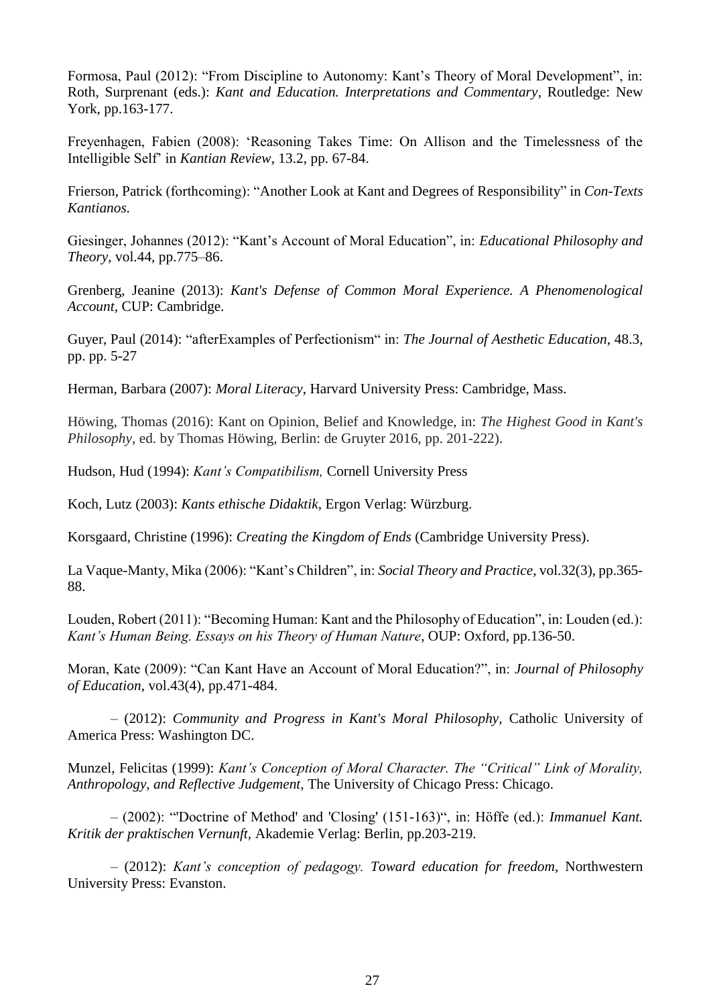Formosa, Paul (2012): "From Discipline to Autonomy: Kant's Theory of Moral Development", in: Roth, Surprenant (eds.): *Kant and Education. Interpretations and Commentary*, Routledge: New York, pp.163-177.

Freyenhagen, Fabien (2008): 'Reasoning Takes Time: On Allison and the Timelessness of the Intelligible Self' in *Kantian Review*, 13.2, pp. 67-84.

Frierson, Patrick (forthcoming): "Another Look at Kant and Degrees of Responsibility" in *Con-Texts Kantianos.*

Giesinger, Johannes (2012): "Kant's Account of Moral Education", in: *Educational Philosophy and Theory*, vol.44, pp.775–86.

Grenberg, Jeanine (2013): *Kant's Defense of Common Moral Experience. A Phenomenological Account,* CUP: Cambridge.

Guyer, Paul (2014): "afterExamples of Perfectionism" in: *The Journal of Aesthetic Education,* 48.3, pp. pp. 5-27

Herman, Barbara (2007): *Moral Literacy*, Harvard University Press: Cambridge, Mass.

Höwing, Thomas (2016): Kant on Opinion, Belief and Knowledge, in: *The Highest Good in Kant's Philosophy*, ed. by Thomas Höwing, Berlin: de Gruyter 2016, pp. 201-222).

Hudson, Hud (1994): *Kant's Compatibilism,* Cornell University Press

Koch, Lutz (2003): *Kants ethische Didaktik,* Ergon Verlag: Würzburg.

Korsgaard, Christine (1996): *Creating the Kingdom of Ends* (Cambridge University Press).

La Vaque-Manty, Mika (2006): "Kant's Children", in: *Social Theory and Practice*, vol.32(3), pp.365- 88.

Louden, Robert (2011): "Becoming Human: Kant and the Philosophy of Education", in: Louden (ed.): *Kant's Human Being. Essays on his Theory of Human Nature*, OUP: Oxford, pp.136-50.

Moran, Kate (2009): "Can Kant Have an Account of Moral Education?", in: *Journal of Philosophy of Education*, vol.43(4), pp.471-484.

– (2012): *Community and Progress in Kant's Moral Philosophy,* Catholic University of America Press: Washington DC.

Munzel, Felicitas (1999): *Kant's Conception of Moral Character. The "Critical" Link of Morality, Anthropology, and Reflective Judgement,* The University of Chicago Press: Chicago.

– (2002): "'Doctrine of Method' and 'Closing' (151-163)", in: Höffe (ed.): *Immanuel Kant. Kritik der praktischen Vernunft,* Akademie Verlag: Berlin, pp.203-219.

– (2012): *Kant's conception of pedagogy. Toward education for freedom*, Northwestern University Press: Evanston.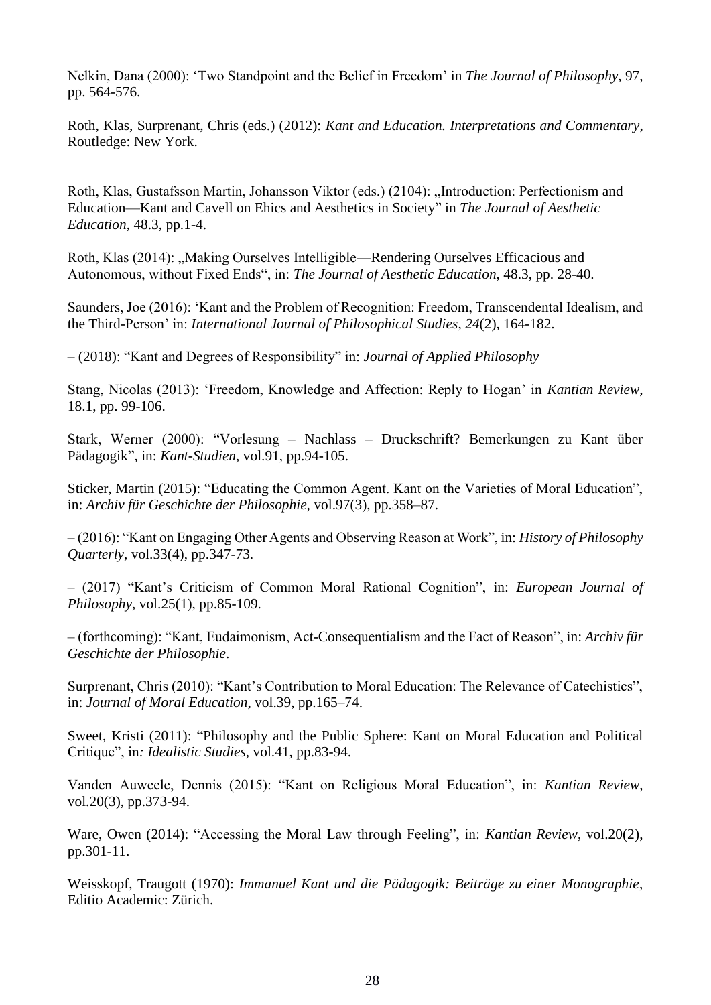Nelkin, Dana (2000): 'Two Standpoint and the Belief in Freedom' in *The Journal of Philosophy*, 97, pp. 564-576.

Roth, Klas, Surprenant, Chris (eds.) (2012): *Kant and Education. Interpretations and Commentary*, Routledge: New York.

Roth, Klas, Gustafsson Martin, Johansson Viktor (eds.) (2104): "Introduction: Perfectionism and Education—Kant and Cavell on Ehics and Aesthetics in Society" in *The Journal of Aesthetic Education*, 48.3, pp.1-4.

Roth, Klas (2014): "Making Ourselves Intelligible—Rendering Ourselves Efficacious and Autonomous, without Fixed Ends", in: *The Journal of Aesthetic Education*, 48.3, pp. 28-40.

Saunders, Joe (2016): 'Kant and the Problem of Recognition: Freedom, Transcendental Idealism, and the Third-Person' in: *International Journal of Philosophical Studies*, *24*(2), 164-182.

– (2018): "Kant and Degrees of Responsibility" in: *Journal of Applied Philosophy*

Stang, Nicolas (2013): 'Freedom, Knowledge and Affection: Reply to Hogan' in *Kantian Review*, 18.1, pp. 99-106.

Stark, Werner (2000): "Vorlesung – Nachlass – Druckschrift? Bemerkungen zu Kant über Pädagogik", in: *Kant-Studien*, vol.91, pp.94-105.

Sticker, Martin (2015): "Educating the Common Agent. Kant on the Varieties of Moral Education", in: *Archiv für Geschichte der Philosophie,* vol.97(3), pp.358–87.

– (2016): "Kant on Engaging Other Agents and Observing Reason at Work", in: *History of Philosophy Quarterly*, vol.33(4), pp.347-73.

– (2017) "Kant's Criticism of Common Moral Rational Cognition", in: *European Journal of Philosophy*, vol.25(1), pp.85-109.

– (forthcoming): "Kant, Eudaimonism, Act-Consequentialism and the Fact of Reason", in: *Archiv für Geschichte der Philosophie*.

Surprenant, Chris (2010): "Kant's Contribution to Moral Education: The Relevance of Catechistics", in: *Journal of Moral Education*, vol.39, pp.165–74.

Sweet, Kristi (2011): "Philosophy and the Public Sphere: Kant on Moral Education and Political Critique", in*: Idealistic Studies*, vol.41, pp.83-94.

Vanden Auweele, Dennis (2015): "Kant on Religious Moral Education", in: *Kantian Review*, vol.20(3), pp.373-94.

Ware, Owen (2014): "Accessing the Moral Law through Feeling", in: *Kantian Review*, vol.20(2), pp.301-11.

Weisskopf, Traugott (1970): *Immanuel Kant und die Pädagogik: Beiträge zu einer Monographie*, Editio Academic: Zürich.